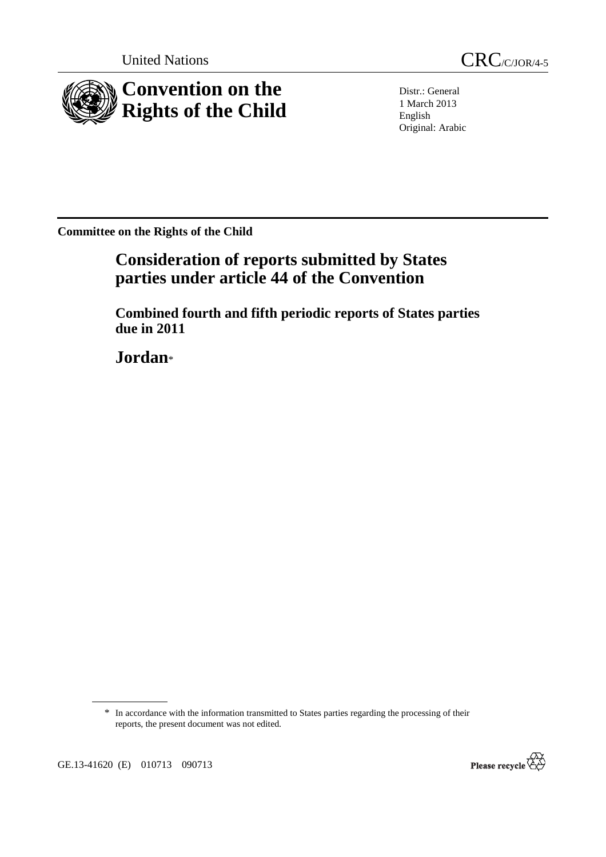

United Nations CRC/C/JOR/4-5

Distr.: General 1 March 2013 English Original: Arabic

**Committee on the Rights of the Child** 

# **Consideration of reports submitted by States parties under article 44 of the Convention**

 **Combined fourth and fifth periodic reports of States parties due in 2011** 

 **Jordan**\*

\* In accordance with the information transmitted to States parties regarding the processing of their reports, the present document was not edited.



GE.13-41620 (E) 010713 090713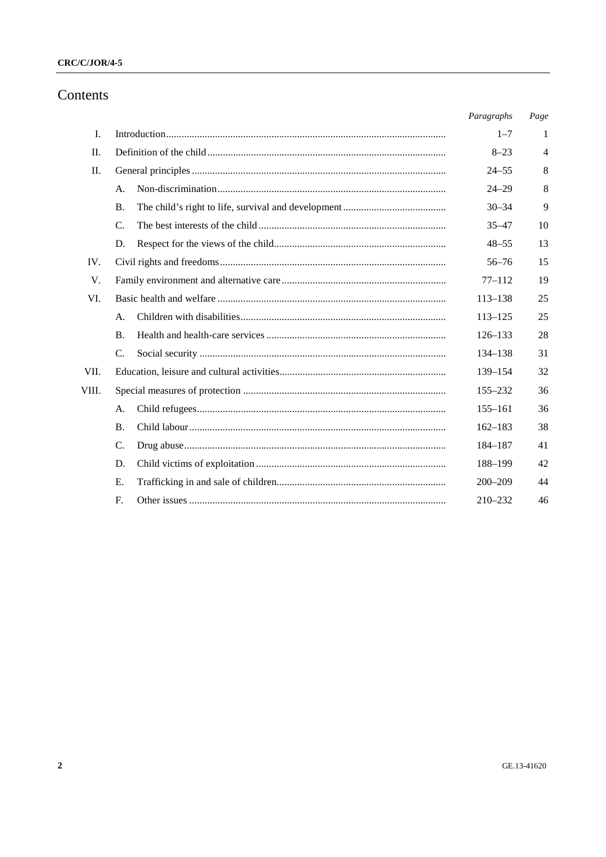## $CRC/C/JOR/4-5$

## Contents

|         |                 | Paragraphs  | Page           |
|---------|-----------------|-------------|----------------|
| L.      |                 | $1 - 7$     | 1              |
| П.      |                 | $8 - 23$    | $\overline{4}$ |
| $\Pi$ . |                 | $24 - 55$   | 8              |
|         | A.              | $24 - 29$   | 8              |
|         | Β.              | $30 - 34$   | 9              |
|         | $C_{\cdot}$     | $35 - 47$   | 10             |
|         | D.              | $48 - 55$   | 13             |
| IV.     |                 | $56 - 76$   | 15             |
| V.      |                 | $77 - 112$  | 19             |
| VI.     |                 | $113 - 138$ | 25             |
|         | A.              | $113 - 125$ | 25             |
|         | <b>B.</b>       | $126 - 133$ | 28             |
|         | $\mathcal{C}$ . | 134–138     | 31             |
| VII.    |                 | 139-154     | 32             |
| VIII.   |                 | 155-232     | 36             |
|         | А.              | $155 - 161$ | 36             |
|         | <b>B.</b>       | $162 - 183$ | 38             |
|         | C.              | 184-187     | 41             |
|         | D.              | 188-199     | 42             |
|         | E.              | $200 - 209$ | 44             |
|         | F.              | $210 - 232$ | 46             |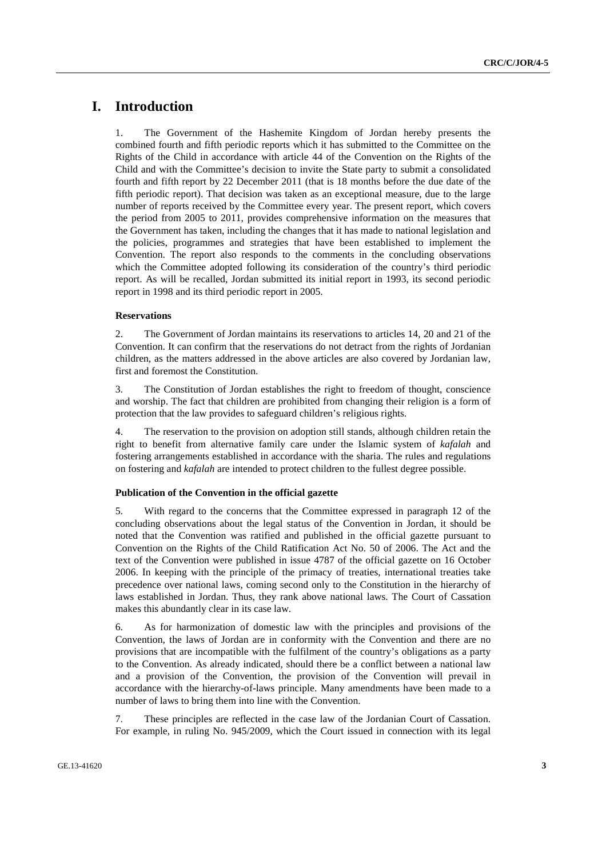## **I. Introduction**

1. The Government of the Hashemite Kingdom of Jordan hereby presents the combined fourth and fifth periodic reports which it has submitted to the Committee on the Rights of the Child in accordance with article 44 of the Convention on the Rights of the Child and with the Committee's decision to invite the State party to submit a consolidated fourth and fifth report by 22 December 2011 (that is 18 months before the due date of the fifth periodic report). That decision was taken as an exceptional measure, due to the large number of reports received by the Committee every year. The present report, which covers the period from 2005 to 2011, provides comprehensive information on the measures that the Government has taken, including the changes that it has made to national legislation and the policies, programmes and strategies that have been established to implement the Convention. The report also responds to the comments in the concluding observations which the Committee adopted following its consideration of the country's third periodic report. As will be recalled, Jordan submitted its initial report in 1993, its second periodic report in 1998 and its third periodic report in 2005.

#### **Reservations**

2. The Government of Jordan maintains its reservations to articles 14, 20 and 21 of the Convention. It can confirm that the reservations do not detract from the rights of Jordanian children, as the matters addressed in the above articles are also covered by Jordanian law, first and foremost the Constitution.

3. The Constitution of Jordan establishes the right to freedom of thought, conscience and worship. The fact that children are prohibited from changing their religion is a form of protection that the law provides to safeguard children's religious rights.

4. The reservation to the provision on adoption still stands, although children retain the right to benefit from alternative family care under the Islamic system of *kafalah* and fostering arrangements established in accordance with the sharia. The rules and regulations on fostering and *kafalah* are intended to protect children to the fullest degree possible.

#### **Publication of the Convention in the official gazette**

5. With regard to the concerns that the Committee expressed in paragraph 12 of the concluding observations about the legal status of the Convention in Jordan, it should be noted that the Convention was ratified and published in the official gazette pursuant to Convention on the Rights of the Child Ratification Act No. 50 of 2006. The Act and the text of the Convention were published in issue 4787 of the official gazette on 16 October 2006. In keeping with the principle of the primacy of treaties, international treaties take precedence over national laws, coming second only to the Constitution in the hierarchy of laws established in Jordan. Thus, they rank above national laws. The Court of Cassation makes this abundantly clear in its case law.

6. As for harmonization of domestic law with the principles and provisions of the Convention, the laws of Jordan are in conformity with the Convention and there are no provisions that are incompatible with the fulfilment of the country's obligations as a party to the Convention. As already indicated, should there be a conflict between a national law and a provision of the Convention, the provision of the Convention will prevail in accordance with the hierarchy-of-laws principle. Many amendments have been made to a number of laws to bring them into line with the Convention.

7. These principles are reflected in the case law of the Jordanian Court of Cassation. For example, in ruling No. 945/2009, which the Court issued in connection with its legal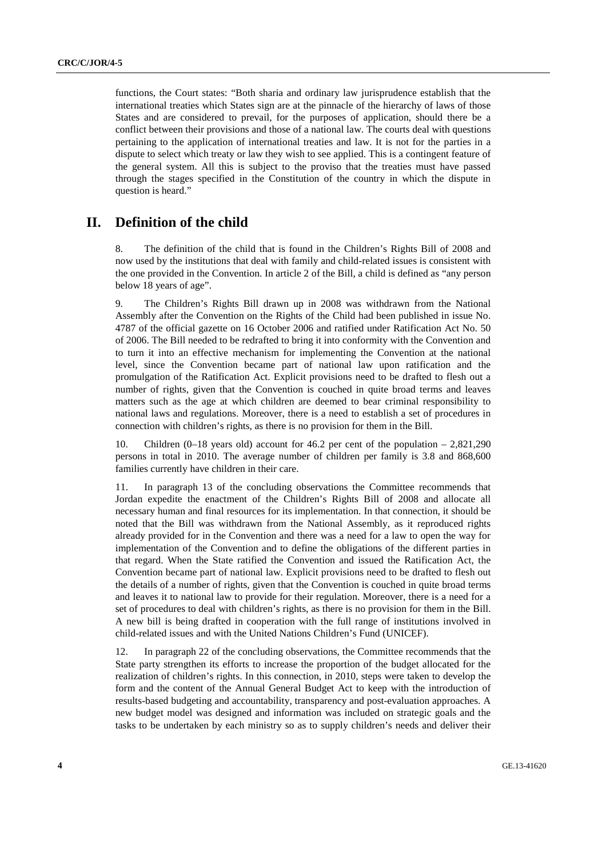functions, the Court states: "Both sharia and ordinary law jurisprudence establish that the international treaties which States sign are at the pinnacle of the hierarchy of laws of those States and are considered to prevail, for the purposes of application, should there be a conflict between their provisions and those of a national law. The courts deal with questions pertaining to the application of international treaties and law. It is not for the parties in a dispute to select which treaty or law they wish to see applied. This is a contingent feature of the general system. All this is subject to the proviso that the treaties must have passed through the stages specified in the Constitution of the country in which the dispute in question is heard."

## **II. Definition of the child**

8. The definition of the child that is found in the Children's Rights Bill of 2008 and now used by the institutions that deal with family and child-related issues is consistent with the one provided in the Convention. In article 2 of the Bill, a child is defined as "any person below 18 years of age".

9. The Children's Rights Bill drawn up in 2008 was withdrawn from the National Assembly after the Convention on the Rights of the Child had been published in issue No. 4787 of the official gazette on 16 October 2006 and ratified under Ratification Act No. 50 of 2006. The Bill needed to be redrafted to bring it into conformity with the Convention and to turn it into an effective mechanism for implementing the Convention at the national level, since the Convention became part of national law upon ratification and the promulgation of the Ratification Act. Explicit provisions need to be drafted to flesh out a number of rights, given that the Convention is couched in quite broad terms and leaves matters such as the age at which children are deemed to bear criminal responsibility to national laws and regulations. Moreover, there is a need to establish a set of procedures in connection with children's rights, as there is no provision for them in the Bill.

10. Children (0–18 years old) account for 46.2 per cent of the population – 2,821,290 persons in total in 2010. The average number of children per family is 3.8 and 868,600 families currently have children in their care.

11. In paragraph 13 of the concluding observations the Committee recommends that Jordan expedite the enactment of the Children's Rights Bill of 2008 and allocate all necessary human and final resources for its implementation. In that connection, it should be noted that the Bill was withdrawn from the National Assembly, as it reproduced rights already provided for in the Convention and there was a need for a law to open the way for implementation of the Convention and to define the obligations of the different parties in that regard. When the State ratified the Convention and issued the Ratification Act, the Convention became part of national law. Explicit provisions need to be drafted to flesh out the details of a number of rights, given that the Convention is couched in quite broad terms and leaves it to national law to provide for their regulation. Moreover, there is a need for a set of procedures to deal with children's rights, as there is no provision for them in the Bill. A new bill is being drafted in cooperation with the full range of institutions involved in child-related issues and with the United Nations Children's Fund (UNICEF).

12. In paragraph 22 of the concluding observations, the Committee recommends that the State party strengthen its efforts to increase the proportion of the budget allocated for the realization of children's rights. In this connection, in 2010, steps were taken to develop the form and the content of the Annual General Budget Act to keep with the introduction of results-based budgeting and accountability, transparency and post-evaluation approaches. A new budget model was designed and information was included on strategic goals and the tasks to be undertaken by each ministry so as to supply children's needs and deliver their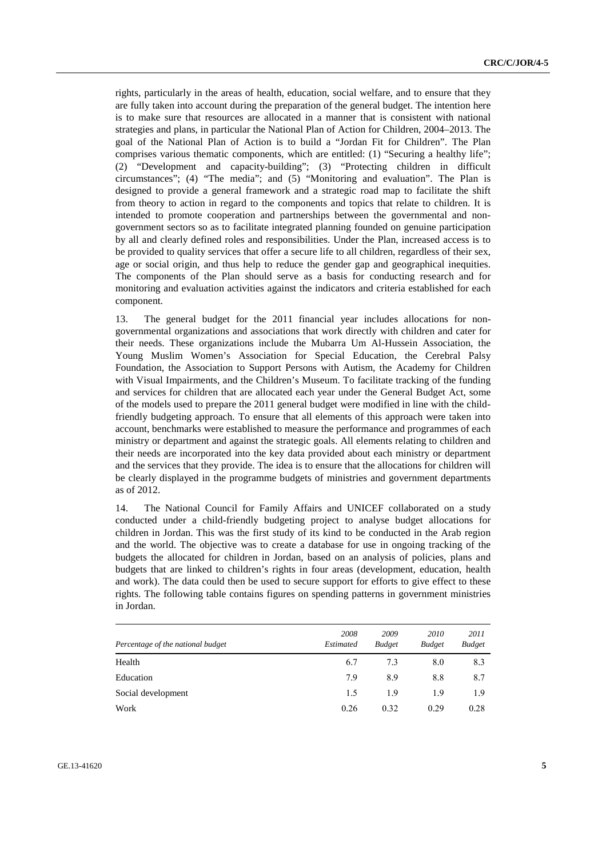rights, particularly in the areas of health, education, social welfare, and to ensure that they are fully taken into account during the preparation of the general budget. The intention here is to make sure that resources are allocated in a manner that is consistent with national strategies and plans, in particular the National Plan of Action for Children, 2004–2013. The goal of the National Plan of Action is to build a "Jordan Fit for Children". The Plan comprises various thematic components, which are entitled: (1) "Securing a healthy life"; (2) "Development and capacity-building"; (3) "Protecting children in difficult circumstances"; (4) "The media"; and (5) "Monitoring and evaluation". The Plan is designed to provide a general framework and a strategic road map to facilitate the shift from theory to action in regard to the components and topics that relate to children. It is intended to promote cooperation and partnerships between the governmental and nongovernment sectors so as to facilitate integrated planning founded on genuine participation by all and clearly defined roles and responsibilities. Under the Plan, increased access is to be provided to quality services that offer a secure life to all children, regardless of their sex, age or social origin, and thus help to reduce the gender gap and geographical inequities. The components of the Plan should serve as a basis for conducting research and for monitoring and evaluation activities against the indicators and criteria established for each component.

13. The general budget for the 2011 financial year includes allocations for nongovernmental organizations and associations that work directly with children and cater for their needs. These organizations include the Mubarra Um Al-Hussein Association, the Young Muslim Women's Association for Special Education, the Cerebral Palsy Foundation, the Association to Support Persons with Autism, the Academy for Children with Visual Impairments, and the Children's Museum. To facilitate tracking of the funding and services for children that are allocated each year under the General Budget Act, some of the models used to prepare the 2011 general budget were modified in line with the childfriendly budgeting approach. To ensure that all elements of this approach were taken into account, benchmarks were established to measure the performance and programmes of each ministry or department and against the strategic goals. All elements relating to children and their needs are incorporated into the key data provided about each ministry or department and the services that they provide. The idea is to ensure that the allocations for children will be clearly displayed in the programme budgets of ministries and government departments as of 2012.

14. The National Council for Family Affairs and UNICEF collaborated on a study conducted under a child-friendly budgeting project to analyse budget allocations for children in Jordan. This was the first study of its kind to be conducted in the Arab region and the world. The objective was to create a database for use in ongoing tracking of the budgets the allocated for children in Jordan, based on an analysis of policies, plans and budgets that are linked to children's rights in four areas (development, education, health and work). The data could then be used to secure support for efforts to give effect to these rights. The following table contains figures on spending patterns in government ministries in Jordan.

| Percentage of the national budget | 2008<br>Estimated | 2009<br><b>Budget</b> | 2010<br><b>Budget</b> | 2011<br><b>Budget</b> |
|-----------------------------------|-------------------|-----------------------|-----------------------|-----------------------|
| Health                            | 6.7               | 7.3                   | 8.0                   | 8.3                   |
| Education                         | 7.9               | 8.9                   | 8.8                   | 8.7                   |
| Social development                | 1.5               | 1.9                   | 1.9                   | 1.9                   |
| Work                              | 0.26              | 0.32                  | 0.29                  | 0.28                  |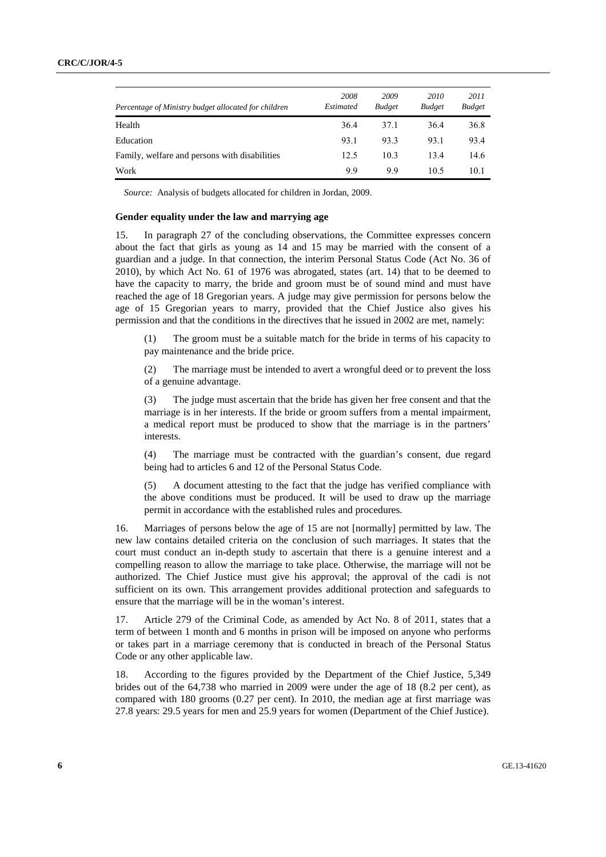| Percentage of Ministry budget allocated for children | 2008<br>Estimated | 2009<br><b>Budget</b> | 2010<br><b>Budget</b> | 2011<br><b>Budget</b> |
|------------------------------------------------------|-------------------|-----------------------|-----------------------|-----------------------|
| Health                                               | 36.4              | 37.1                  | 36.4                  | 36.8                  |
| Education                                            | 93.1              | 93.3                  | 93.1                  | 93.4                  |
| Family, welfare and persons with disabilities        | 12.5              | 10.3                  | 13.4                  | 14.6                  |
| Work                                                 | 99                | 99                    | 10.5                  | 10.1                  |

*Source:* Analysis of budgets allocated for children in Jordan, 2009.

#### **Gender equality under the law and marrying age**

15. In paragraph 27 of the concluding observations, the Committee expresses concern about the fact that girls as young as 14 and 15 may be married with the consent of a guardian and a judge. In that connection, the interim Personal Status Code (Act No. 36 of 2010), by which Act No. 61 of 1976 was abrogated, states (art. 14) that to be deemed to have the capacity to marry, the bride and groom must be of sound mind and must have reached the age of 18 Gregorian years. A judge may give permission for persons below the age of 15 Gregorian years to marry, provided that the Chief Justice also gives his permission and that the conditions in the directives that he issued in 2002 are met, namely:

(1) The groom must be a suitable match for the bride in terms of his capacity to pay maintenance and the bride price.

(2) The marriage must be intended to avert a wrongful deed or to prevent the loss of a genuine advantage.

The judge must ascertain that the bride has given her free consent and that the marriage is in her interests. If the bride or groom suffers from a mental impairment, a medical report must be produced to show that the marriage is in the partners' interests.

(4) The marriage must be contracted with the guardian's consent, due regard being had to articles 6 and 12 of the Personal Status Code.

(5) A document attesting to the fact that the judge has verified compliance with the above conditions must be produced. It will be used to draw up the marriage permit in accordance with the established rules and procedures.

16. Marriages of persons below the age of 15 are not [normally] permitted by law. The new law contains detailed criteria on the conclusion of such marriages. It states that the court must conduct an in-depth study to ascertain that there is a genuine interest and a compelling reason to allow the marriage to take place. Otherwise, the marriage will not be authorized. The Chief Justice must give his approval; the approval of the cadi is not sufficient on its own. This arrangement provides additional protection and safeguards to ensure that the marriage will be in the woman's interest.

17. Article 279 of the Criminal Code, as amended by Act No. 8 of 2011, states that a term of between 1 month and 6 months in prison will be imposed on anyone who performs or takes part in a marriage ceremony that is conducted in breach of the Personal Status Code or any other applicable law.

18. According to the figures provided by the Department of the Chief Justice, 5,349 brides out of the 64,738 who married in 2009 were under the age of 18 (8.2 per cent), as compared with 180 grooms (0.27 per cent). In 2010, the median age at first marriage was 27.8 years: 29.5 years for men and 25.9 years for women (Department of the Chief Justice).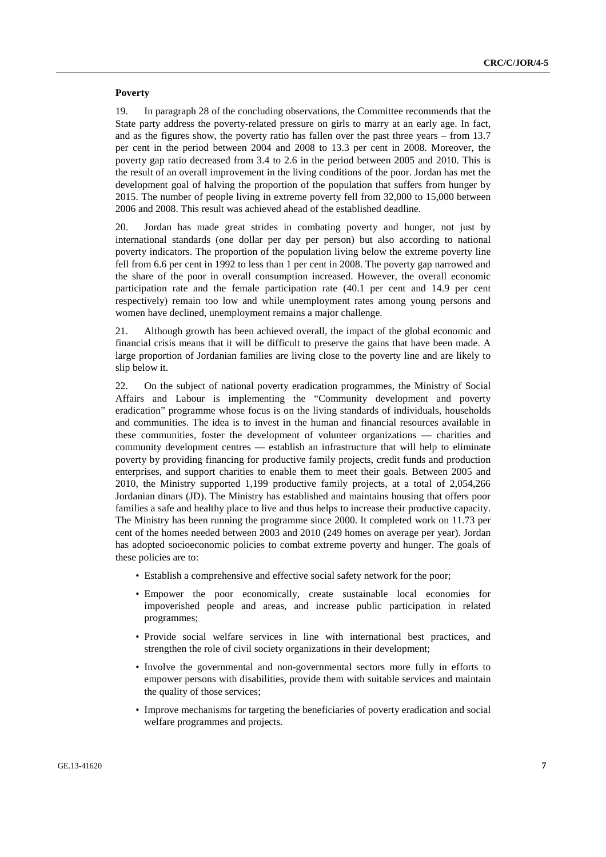#### **Poverty**

19. In paragraph 28 of the concluding observations, the Committee recommends that the State party address the poverty-related pressure on girls to marry at an early age. In fact, and as the figures show, the poverty ratio has fallen over the past three years – from 13.7 per cent in the period between 2004 and 2008 to 13.3 per cent in 2008. Moreover, the poverty gap ratio decreased from 3.4 to 2.6 in the period between 2005 and 2010. This is the result of an overall improvement in the living conditions of the poor. Jordan has met the development goal of halving the proportion of the population that suffers from hunger by 2015. The number of people living in extreme poverty fell from 32,000 to 15,000 between 2006 and 2008. This result was achieved ahead of the established deadline.

20. Jordan has made great strides in combating poverty and hunger, not just by international standards (one dollar per day per person) but also according to national poverty indicators. The proportion of the population living below the extreme poverty line fell from 6.6 per cent in 1992 to less than 1 per cent in 2008. The poverty gap narrowed and the share of the poor in overall consumption increased. However, the overall economic participation rate and the female participation rate (40.1 per cent and 14.9 per cent respectively) remain too low and while unemployment rates among young persons and women have declined, unemployment remains a major challenge.

21. Although growth has been achieved overall, the impact of the global economic and financial crisis means that it will be difficult to preserve the gains that have been made. A large proportion of Jordanian families are living close to the poverty line and are likely to slip below it.

22. On the subject of national poverty eradication programmes, the Ministry of Social Affairs and Labour is implementing the "Community development and poverty eradication" programme whose focus is on the living standards of individuals, households and communities. The idea is to invest in the human and financial resources available in these communities, foster the development of volunteer organizations — charities and community development centres — establish an infrastructure that will help to eliminate poverty by providing financing for productive family projects, credit funds and production enterprises, and support charities to enable them to meet their goals. Between 2005 and 2010, the Ministry supported 1,199 productive family projects, at a total of 2,054,266 Jordanian dinars (JD). The Ministry has established and maintains housing that offers poor families a safe and healthy place to live and thus helps to increase their productive capacity. The Ministry has been running the programme since 2000. It completed work on 11.73 per cent of the homes needed between 2003 and 2010 (249 homes on average per year). Jordan has adopted socioeconomic policies to combat extreme poverty and hunger. The goals of these policies are to:

- Establish a comprehensive and effective social safety network for the poor;
- Empower the poor economically, create sustainable local economies for impoverished people and areas, and increase public participation in related programmes;
- Provide social welfare services in line with international best practices, and strengthen the role of civil society organizations in their development;
- Involve the governmental and non-governmental sectors more fully in efforts to empower persons with disabilities, provide them with suitable services and maintain the quality of those services;
- Improve mechanisms for targeting the beneficiaries of poverty eradication and social welfare programmes and projects.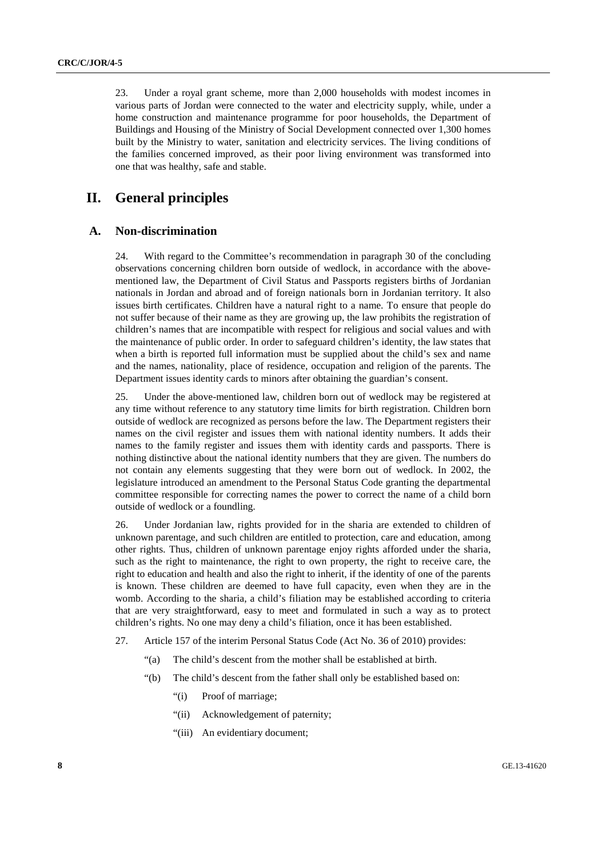23. Under a royal grant scheme, more than 2,000 households with modest incomes in various parts of Jordan were connected to the water and electricity supply, while, under a home construction and maintenance programme for poor households, the Department of Buildings and Housing of the Ministry of Social Development connected over 1,300 homes built by the Ministry to water, sanitation and electricity services. The living conditions of the families concerned improved, as their poor living environment was transformed into one that was healthy, safe and stable.

## **II. General principles**

## **A. Non-discrimination**

24. With regard to the Committee's recommendation in paragraph 30 of the concluding observations concerning children born outside of wedlock, in accordance with the abovementioned law, the Department of Civil Status and Passports registers births of Jordanian nationals in Jordan and abroad and of foreign nationals born in Jordanian territory. It also issues birth certificates. Children have a natural right to a name. To ensure that people do not suffer because of their name as they are growing up, the law prohibits the registration of children's names that are incompatible with respect for religious and social values and with the maintenance of public order. In order to safeguard children's identity, the law states that when a birth is reported full information must be supplied about the child's sex and name and the names, nationality, place of residence, occupation and religion of the parents. The Department issues identity cards to minors after obtaining the guardian's consent.

25. Under the above-mentioned law, children born out of wedlock may be registered at any time without reference to any statutory time limits for birth registration. Children born outside of wedlock are recognized as persons before the law. The Department registers their names on the civil register and issues them with national identity numbers. It adds their names to the family register and issues them with identity cards and passports. There is nothing distinctive about the national identity numbers that they are given. The numbers do not contain any elements suggesting that they were born out of wedlock. In 2002, the legislature introduced an amendment to the Personal Status Code granting the departmental committee responsible for correcting names the power to correct the name of a child born outside of wedlock or a foundling.

26. Under Jordanian law, rights provided for in the sharia are extended to children of unknown parentage, and such children are entitled to protection, care and education, among other rights. Thus, children of unknown parentage enjoy rights afforded under the sharia, such as the right to maintenance, the right to own property, the right to receive care, the right to education and health and also the right to inherit, if the identity of one of the parents is known. These children are deemed to have full capacity, even when they are in the womb. According to the sharia, a child's filiation may be established according to criteria that are very straightforward, easy to meet and formulated in such a way as to protect children's rights. No one may deny a child's filiation, once it has been established.

- 27. Article 157 of the interim Personal Status Code (Act No. 36 of 2010) provides:
	- "(a) The child's descent from the mother shall be established at birth.
	- "(b) The child's descent from the father shall only be established based on:
		- "(i) Proof of marriage;
		- "(ii) Acknowledgement of paternity;
		- "(iii) An evidentiary document;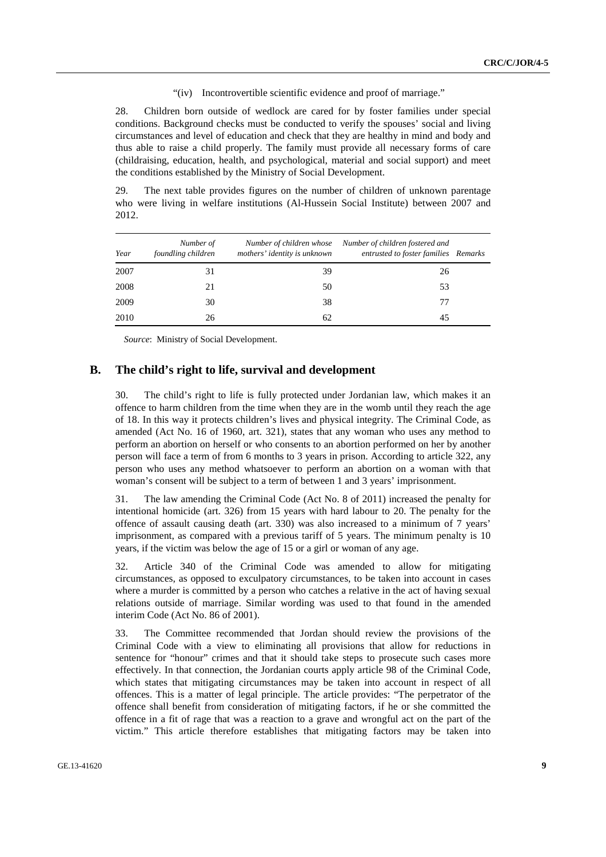#### "(iv) Incontrovertible scientific evidence and proof of marriage."

28. Children born outside of wedlock are cared for by foster families under special conditions. Background checks must be conducted to verify the spouses' social and living circumstances and level of education and check that they are healthy in mind and body and thus able to raise a child properly. The family must provide all necessary forms of care (childraising, education, health, and psychological, material and social support) and meet the conditions established by the Ministry of Social Development.

29. The next table provides figures on the number of children of unknown parentage who were living in welfare institutions (Al-Hussein Social Institute) between 2007 and 2012.

| Year | Number of<br>foundling children | mothers' identity is unknown | Number of children whose Number of children fostered and<br>entrusted to foster families Remarks |  |
|------|---------------------------------|------------------------------|--------------------------------------------------------------------------------------------------|--|
| 2007 | 31                              | 39                           | 26                                                                                               |  |
| 2008 | 21                              | 50                           | 53                                                                                               |  |
| 2009 | 30                              | 38                           | 77                                                                                               |  |
| 2010 | 26                              | 62                           | 45                                                                                               |  |

*Source*: Ministry of Social Development.

### **B. The child's right to life, survival and development**

30. The child's right to life is fully protected under Jordanian law, which makes it an offence to harm children from the time when they are in the womb until they reach the age of 18. In this way it protects children's lives and physical integrity. The Criminal Code, as amended (Act No. 16 of 1960, art. 321), states that any woman who uses any method to perform an abortion on herself or who consents to an abortion performed on her by another person will face a term of from 6 months to 3 years in prison. According to article 322, any person who uses any method whatsoever to perform an abortion on a woman with that woman's consent will be subject to a term of between 1 and 3 years' imprisonment.

31. The law amending the Criminal Code (Act No. 8 of 2011) increased the penalty for intentional homicide (art. 326) from 15 years with hard labour to 20. The penalty for the offence of assault causing death (art. 330) was also increased to a minimum of 7 years' imprisonment, as compared with a previous tariff of 5 years. The minimum penalty is 10 years, if the victim was below the age of 15 or a girl or woman of any age.

32. Article 340 of the Criminal Code was amended to allow for mitigating circumstances, as opposed to exculpatory circumstances, to be taken into account in cases where a murder is committed by a person who catches a relative in the act of having sexual relations outside of marriage. Similar wording was used to that found in the amended interim Code (Act No. 86 of 2001).

33. The Committee recommended that Jordan should review the provisions of the Criminal Code with a view to eliminating all provisions that allow for reductions in sentence for "honour" crimes and that it should take steps to prosecute such cases more effectively. In that connection, the Jordanian courts apply article 98 of the Criminal Code, which states that mitigating circumstances may be taken into account in respect of all offences. This is a matter of legal principle. The article provides: "The perpetrator of the offence shall benefit from consideration of mitigating factors, if he or she committed the offence in a fit of rage that was a reaction to a grave and wrongful act on the part of the victim." This article therefore establishes that mitigating factors may be taken into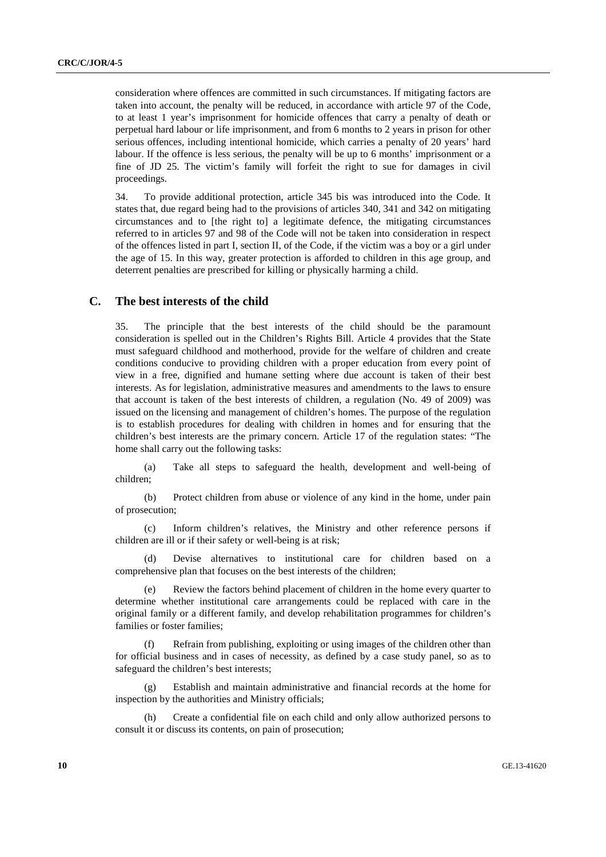consideration where offences are committed in such circumstances. If mitigating factors are taken into account, the penalty will be reduced, in accordance with article 97 of the Code, to at least 1 year's imprisonment for homicide offences that carry a penalty of death or perpetual hard labour or life imprisonment, and from 6 months to 2 years in prison for other serious offences, including intentional homicide, which carries a penalty of 20 years' hard labour. If the offence is less serious, the penalty will be up to 6 months' imprisonment or a fine of JD 25. The victim's family will forfeit the right to sue for damages in civil proceedings.

34. To provide additional protection, article 345 bis was introduced into the Code. It states that, due regard being had to the provisions of articles 340, 341 and 342 on mitigating circumstances and to [the right to] a legitimate defence, the mitigating circumstances referred to in articles 97 and 98 of the Code will not be taken into consideration in respect of the offences listed in part I, section II, of the Code, if the victim was a boy or a girl under the age of 15. In this way, greater protection is afforded to children in this age group, and deterrent penalties are prescribed for killing or physically harming a child.

## **C. The best interests of the child**

35. The principle that the best interests of the child should be the paramount consideration is spelled out in the Children's Rights Bill. Article 4 provides that the State must safeguard childhood and motherhood, provide for the welfare of children and create conditions conducive to providing children with a proper education from every point of view in a free, dignified and humane setting where due account is taken of their best interests. As for legislation, administrative measures and amendments to the laws to ensure that account is taken of the best interests of children, a regulation (No. 49 of 2009) was issued on the licensing and management of children's homes. The purpose of the regulation is to establish procedures for dealing with children in homes and for ensuring that the children's best interests are the primary concern. Article 17 of the regulation states: "The home shall carry out the following tasks:

 (a) Take all steps to safeguard the health, development and well-being of children;

 (b) Protect children from abuse or violence of any kind in the home, under pain of prosecution;

 (c) Inform children's relatives, the Ministry and other reference persons if children are ill or if their safety or well-being is at risk;

 (d) Devise alternatives to institutional care for children based on a comprehensive plan that focuses on the best interests of the children;

 (e) Review the factors behind placement of children in the home every quarter to determine whether institutional care arrangements could be replaced with care in the original family or a different family, and develop rehabilitation programmes for children's families or foster families;

 (f) Refrain from publishing, exploiting or using images of the children other than for official business and in cases of necessity, as defined by a case study panel, so as to safeguard the children's best interests;

 (g) Establish and maintain administrative and financial records at the home for inspection by the authorities and Ministry officials;

 (h) Create a confidential file on each child and only allow authorized persons to consult it or discuss its contents, on pain of prosecution;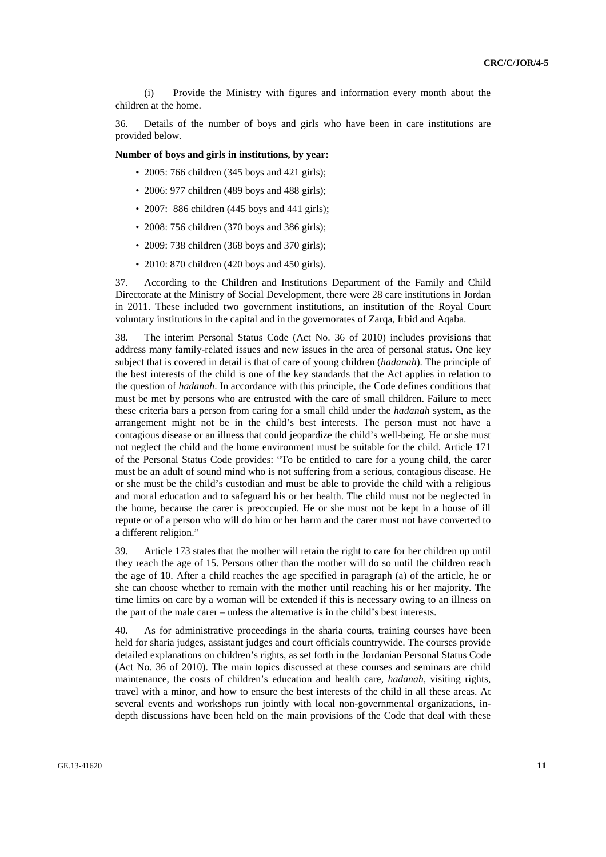(i) Provide the Ministry with figures and information every month about the children at the home.

36. Details of the number of boys and girls who have been in care institutions are provided below.

#### **Number of boys and girls in institutions, by year:**

- 2005: 766 children (345 boys and 421 girls);
- 2006: 977 children (489 boys and 488 girls);
- 2007: 886 children (445 boys and 441 girls):
- 2008: 756 children (370 boys and 386 girls);
- 2009: 738 children (368 boys and 370 girls);
- 2010: 870 children (420 boys and 450 girls).

37. According to the Children and Institutions Department of the Family and Child Directorate at the Ministry of Social Development, there were 28 care institutions in Jordan in 2011. These included two government institutions, an institution of the Royal Court voluntary institutions in the capital and in the governorates of Zarqa, Irbid and Aqaba.

38. The interim Personal Status Code (Act No. 36 of 2010) includes provisions that address many family-related issues and new issues in the area of personal status. One key subject that is covered in detail is that of care of young children (*hadanah*). The principle of the best interests of the child is one of the key standards that the Act applies in relation to the question of *hadanah*. In accordance with this principle, the Code defines conditions that must be met by persons who are entrusted with the care of small children. Failure to meet these criteria bars a person from caring for a small child under the *hadanah* system, as the arrangement might not be in the child's best interests. The person must not have a contagious disease or an illness that could jeopardize the child's well-being. He or she must not neglect the child and the home environment must be suitable for the child. Article 171 of the Personal Status Code provides: "To be entitled to care for a young child, the carer must be an adult of sound mind who is not suffering from a serious, contagious disease. He or she must be the child's custodian and must be able to provide the child with a religious and moral education and to safeguard his or her health. The child must not be neglected in the home, because the carer is preoccupied. He or she must not be kept in a house of ill repute or of a person who will do him or her harm and the carer must not have converted to a different religion."

39. Article 173 states that the mother will retain the right to care for her children up until they reach the age of 15. Persons other than the mother will do so until the children reach the age of 10. After a child reaches the age specified in paragraph (a) of the article, he or she can choose whether to remain with the mother until reaching his or her majority. The time limits on care by a woman will be extended if this is necessary owing to an illness on the part of the male carer – unless the alternative is in the child's best interests.

40. As for administrative proceedings in the sharia courts, training courses have been held for sharia judges, assistant judges and court officials countrywide. The courses provide detailed explanations on children's rights, as set forth in the Jordanian Personal Status Code (Act No. 36 of 2010). The main topics discussed at these courses and seminars are child maintenance, the costs of children's education and health care, *hadanah*, visiting rights, travel with a minor, and how to ensure the best interests of the child in all these areas. At several events and workshops run jointly with local non-governmental organizations, indepth discussions have been held on the main provisions of the Code that deal with these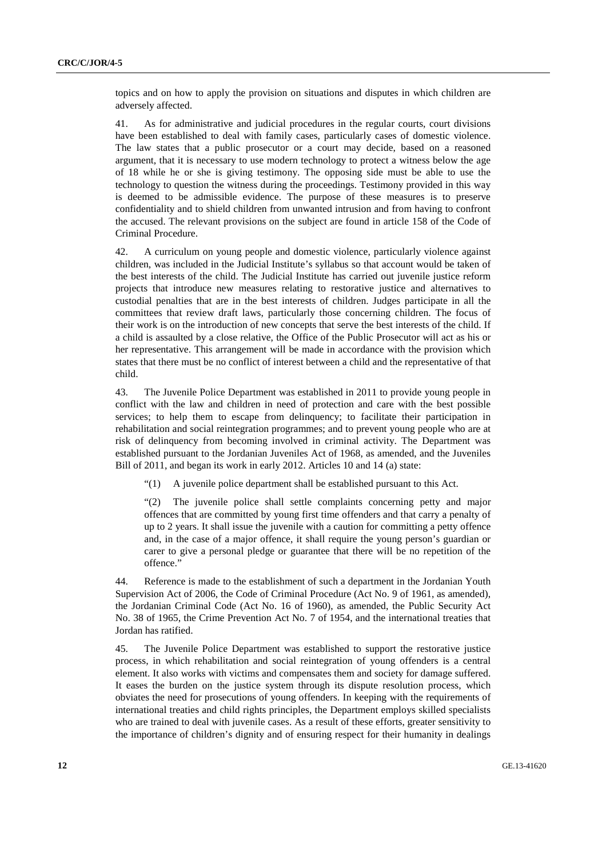topics and on how to apply the provision on situations and disputes in which children are adversely affected.

41. As for administrative and judicial procedures in the regular courts, court divisions have been established to deal with family cases, particularly cases of domestic violence. The law states that a public prosecutor or a court may decide, based on a reasoned argument, that it is necessary to use modern technology to protect a witness below the age of 18 while he or she is giving testimony. The opposing side must be able to use the technology to question the witness during the proceedings. Testimony provided in this way is deemed to be admissible evidence. The purpose of these measures is to preserve confidentiality and to shield children from unwanted intrusion and from having to confront the accused. The relevant provisions on the subject are found in article 158 of the Code of Criminal Procedure.

42. A curriculum on young people and domestic violence, particularly violence against children, was included in the Judicial Institute's syllabus so that account would be taken of the best interests of the child. The Judicial Institute has carried out juvenile justice reform projects that introduce new measures relating to restorative justice and alternatives to custodial penalties that are in the best interests of children. Judges participate in all the committees that review draft laws, particularly those concerning children. The focus of their work is on the introduction of new concepts that serve the best interests of the child. If a child is assaulted by a close relative, the Office of the Public Prosecutor will act as his or her representative. This arrangement will be made in accordance with the provision which states that there must be no conflict of interest between a child and the representative of that child.

43. The Juvenile Police Department was established in 2011 to provide young people in conflict with the law and children in need of protection and care with the best possible services; to help them to escape from delinquency; to facilitate their participation in rehabilitation and social reintegration programmes; and to prevent young people who are at risk of delinquency from becoming involved in criminal activity. The Department was established pursuant to the Jordanian Juveniles Act of 1968, as amended, and the Juveniles Bill of 2011, and began its work in early 2012. Articles 10 and 14 (a) state:

"(1) A juvenile police department shall be established pursuant to this Act.

"(2) The juvenile police shall settle complaints concerning petty and major offences that are committed by young first time offenders and that carry a penalty of up to 2 years. It shall issue the juvenile with a caution for committing a petty offence and, in the case of a major offence, it shall require the young person's guardian or carer to give a personal pledge or guarantee that there will be no repetition of the offence."

44. Reference is made to the establishment of such a department in the Jordanian Youth Supervision Act of 2006, the Code of Criminal Procedure (Act No. 9 of 1961, as amended), the Jordanian Criminal Code (Act No. 16 of 1960), as amended, the Public Security Act No. 38 of 1965, the Crime Prevention Act No. 7 of 1954, and the international treaties that Jordan has ratified.

45. The Juvenile Police Department was established to support the restorative justice process, in which rehabilitation and social reintegration of young offenders is a central element. It also works with victims and compensates them and society for damage suffered. It eases the burden on the justice system through its dispute resolution process, which obviates the need for prosecutions of young offenders. In keeping with the requirements of international treaties and child rights principles, the Department employs skilled specialists who are trained to deal with juvenile cases. As a result of these efforts, greater sensitivity to the importance of children's dignity and of ensuring respect for their humanity in dealings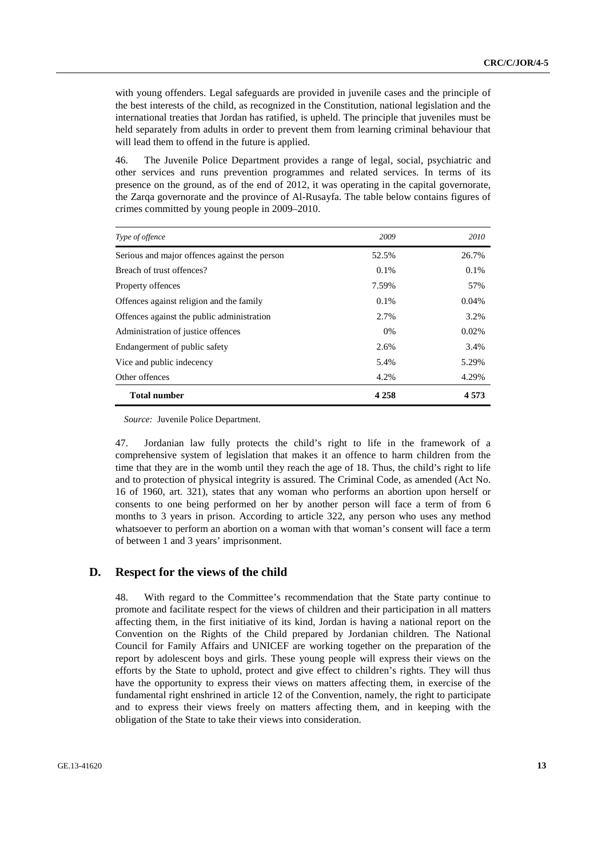with young offenders. Legal safeguards are provided in juvenile cases and the principle of the best interests of the child, as recognized in the Constitution, national legislation and the international treaties that Jordan has ratified, is upheld. The principle that juveniles must be held separately from adults in order to prevent them from learning criminal behaviour that will lead them to offend in the future is applied.

46. The Juvenile Police Department provides a range of legal, social, psychiatric and other services and runs prevention programmes and related services. In terms of its presence on the ground, as of the end of 2012, it was operating in the capital governorate, the Zarqa governorate and the province of Al-Rusayfa. The table below contains figures of crimes committed by young people in 2009–2010.

| Type of offence                               | 2009    | 2010    |
|-----------------------------------------------|---------|---------|
| Serious and major offences against the person | 52.5%   | 26.7%   |
| Breach of trust offences?                     | 0.1%    | 0.1%    |
| Property offences                             | 7.59%   | 57%     |
| Offences against religion and the family      | 0.1%    | 0.04%   |
| Offences against the public administration    | 2.7%    | 3.2%    |
| Administration of justice offences            | 0%      | 0.02%   |
| Endangerment of public safety                 | 2.6%    | 3.4%    |
| Vice and public indecency                     | 5.4%    | 5.29%   |
| Other offences                                | 4.2%    | 4.29%   |
| <b>Total number</b>                           | 4 2 5 8 | 4 5 7 3 |

*Source:* Juvenile Police Department.

47. Jordanian law fully protects the child's right to life in the framework of a comprehensive system of legislation that makes it an offence to harm children from the time that they are in the womb until they reach the age of 18. Thus, the child's right to life and to protection of physical integrity is assured. The Criminal Code, as amended (Act No. 16 of 1960, art. 321), states that any woman who performs an abortion upon herself or consents to one being performed on her by another person will face a term of from 6 months to 3 years in prison. According to article 322, any person who uses any method whatsoever to perform an abortion on a woman with that woman's consent will face a term of between 1 and 3 years' imprisonment.

## **D. Respect for the views of the child**

48. With regard to the Committee's recommendation that the State party continue to promote and facilitate respect for the views of children and their participation in all matters affecting them, in the first initiative of its kind, Jordan is having a national report on the Convention on the Rights of the Child prepared by Jordanian children. The National Council for Family Affairs and UNICEF are working together on the preparation of the report by adolescent boys and girls. These young people will express their views on the efforts by the State to uphold, protect and give effect to children's rights. They will thus have the opportunity to express their views on matters affecting them, in exercise of the fundamental right enshrined in article 12 of the Convention, namely, the right to participate and to express their views freely on matters affecting them, and in keeping with the obligation of the State to take their views into consideration.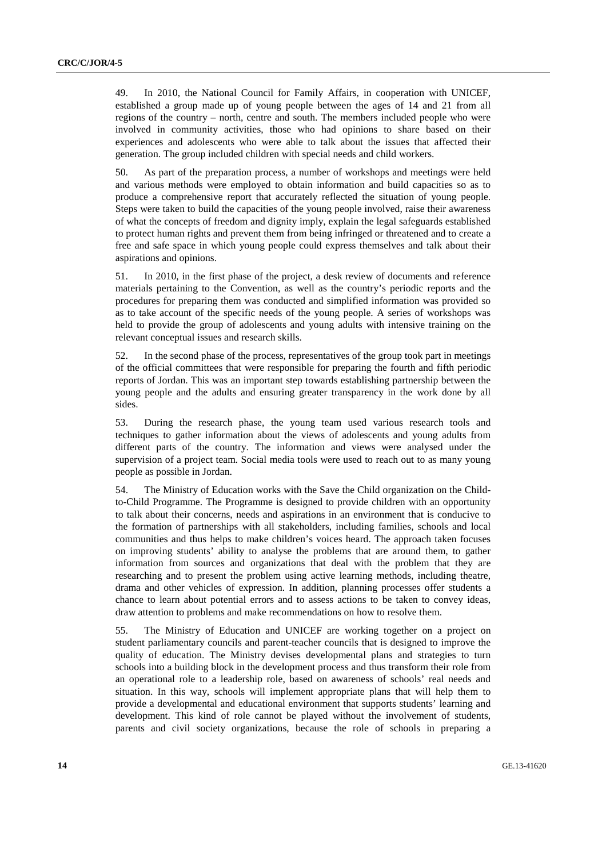49. In 2010, the National Council for Family Affairs, in cooperation with UNICEF, established a group made up of young people between the ages of 14 and 21 from all regions of the country – north, centre and south. The members included people who were involved in community activities, those who had opinions to share based on their experiences and adolescents who were able to talk about the issues that affected their generation. The group included children with special needs and child workers.

50. As part of the preparation process, a number of workshops and meetings were held and various methods were employed to obtain information and build capacities so as to produce a comprehensive report that accurately reflected the situation of young people. Steps were taken to build the capacities of the young people involved, raise their awareness of what the concepts of freedom and dignity imply, explain the legal safeguards established to protect human rights and prevent them from being infringed or threatened and to create a free and safe space in which young people could express themselves and talk about their aspirations and opinions.

51. In 2010, in the first phase of the project, a desk review of documents and reference materials pertaining to the Convention, as well as the country's periodic reports and the procedures for preparing them was conducted and simplified information was provided so as to take account of the specific needs of the young people. A series of workshops was held to provide the group of adolescents and young adults with intensive training on the relevant conceptual issues and research skills.

52. In the second phase of the process, representatives of the group took part in meetings of the official committees that were responsible for preparing the fourth and fifth periodic reports of Jordan. This was an important step towards establishing partnership between the young people and the adults and ensuring greater transparency in the work done by all sides.

53. During the research phase, the young team used various research tools and techniques to gather information about the views of adolescents and young adults from different parts of the country. The information and views were analysed under the supervision of a project team. Social media tools were used to reach out to as many young people as possible in Jordan.

54. The Ministry of Education works with the Save the Child organization on the Childto-Child Programme. The Programme is designed to provide children with an opportunity to talk about their concerns, needs and aspirations in an environment that is conducive to the formation of partnerships with all stakeholders, including families, schools and local communities and thus helps to make children's voices heard. The approach taken focuses on improving students' ability to analyse the problems that are around them, to gather information from sources and organizations that deal with the problem that they are researching and to present the problem using active learning methods, including theatre, drama and other vehicles of expression. In addition, planning processes offer students a chance to learn about potential errors and to assess actions to be taken to convey ideas, draw attention to problems and make recommendations on how to resolve them.

55. The Ministry of Education and UNICEF are working together on a project on student parliamentary councils and parent-teacher councils that is designed to improve the quality of education. The Ministry devises developmental plans and strategies to turn schools into a building block in the development process and thus transform their role from an operational role to a leadership role, based on awareness of schools' real needs and situation. In this way, schools will implement appropriate plans that will help them to provide a developmental and educational environment that supports students' learning and development. This kind of role cannot be played without the involvement of students, parents and civil society organizations, because the role of schools in preparing a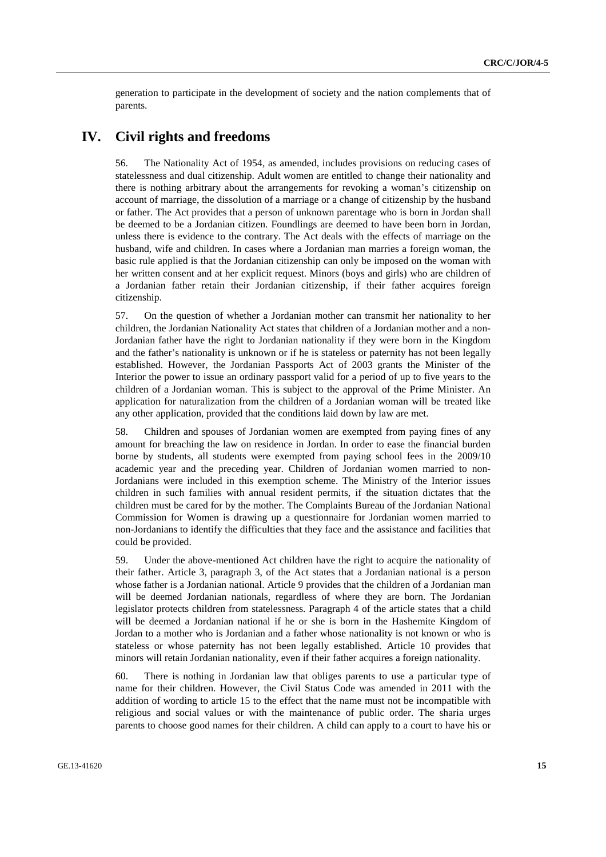generation to participate in the development of society and the nation complements that of parents.

## **IV. Civil rights and freedoms**

56. The Nationality Act of 1954, as amended, includes provisions on reducing cases of statelessness and dual citizenship. Adult women are entitled to change their nationality and there is nothing arbitrary about the arrangements for revoking a woman's citizenship on account of marriage, the dissolution of a marriage or a change of citizenship by the husband or father. The Act provides that a person of unknown parentage who is born in Jordan shall be deemed to be a Jordanian citizen. Foundlings are deemed to have been born in Jordan, unless there is evidence to the contrary. The Act deals with the effects of marriage on the husband, wife and children. In cases where a Jordanian man marries a foreign woman, the basic rule applied is that the Jordanian citizenship can only be imposed on the woman with her written consent and at her explicit request. Minors (boys and girls) who are children of a Jordanian father retain their Jordanian citizenship, if their father acquires foreign citizenship.

57. On the question of whether a Jordanian mother can transmit her nationality to her children, the Jordanian Nationality Act states that children of a Jordanian mother and a non-Jordanian father have the right to Jordanian nationality if they were born in the Kingdom and the father's nationality is unknown or if he is stateless or paternity has not been legally established. However, the Jordanian Passports Act of 2003 grants the Minister of the Interior the power to issue an ordinary passport valid for a period of up to five years to the children of a Jordanian woman. This is subject to the approval of the Prime Minister. An application for naturalization from the children of a Jordanian woman will be treated like any other application, provided that the conditions laid down by law are met.

58. Children and spouses of Jordanian women are exempted from paying fines of any amount for breaching the law on residence in Jordan. In order to ease the financial burden borne by students, all students were exempted from paying school fees in the 2009/10 academic year and the preceding year. Children of Jordanian women married to non-Jordanians were included in this exemption scheme. The Ministry of the Interior issues children in such families with annual resident permits, if the situation dictates that the children must be cared for by the mother. The Complaints Bureau of the Jordanian National Commission for Women is drawing up a questionnaire for Jordanian women married to non-Jordanians to identify the difficulties that they face and the assistance and facilities that could be provided.

59. Under the above-mentioned Act children have the right to acquire the nationality of their father. Article 3, paragraph 3, of the Act states that a Jordanian national is a person whose father is a Jordanian national. Article 9 provides that the children of a Jordanian man will be deemed Jordanian nationals, regardless of where they are born. The Jordanian legislator protects children from statelessness. Paragraph 4 of the article states that a child will be deemed a Jordanian national if he or she is born in the Hashemite Kingdom of Jordan to a mother who is Jordanian and a father whose nationality is not known or who is stateless or whose paternity has not been legally established. Article 10 provides that minors will retain Jordanian nationality, even if their father acquires a foreign nationality.

60. There is nothing in Jordanian law that obliges parents to use a particular type of name for their children. However, the Civil Status Code was amended in 2011 with the addition of wording to article 15 to the effect that the name must not be incompatible with religious and social values or with the maintenance of public order. The sharia urges parents to choose good names for their children. A child can apply to a court to have his or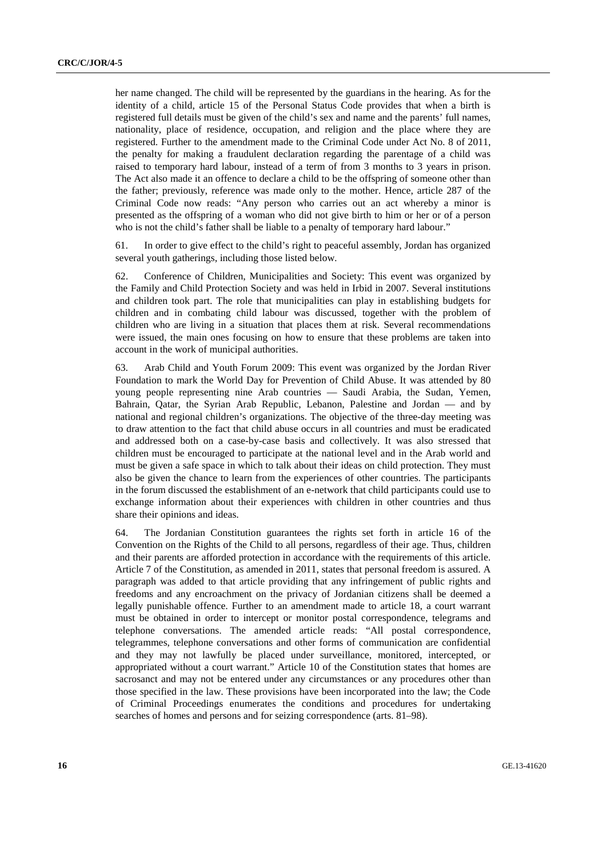her name changed. The child will be represented by the guardians in the hearing. As for the identity of a child, article 15 of the Personal Status Code provides that when a birth is registered full details must be given of the child's sex and name and the parents' full names, nationality, place of residence, occupation, and religion and the place where they are registered. Further to the amendment made to the Criminal Code under Act No. 8 of 2011, the penalty for making a fraudulent declaration regarding the parentage of a child was raised to temporary hard labour, instead of a term of from 3 months to 3 years in prison. The Act also made it an offence to declare a child to be the offspring of someone other than the father; previously, reference was made only to the mother. Hence, article 287 of the Criminal Code now reads: "Any person who carries out an act whereby a minor is presented as the offspring of a woman who did not give birth to him or her or of a person who is not the child's father shall be liable to a penalty of temporary hard labour."

61. In order to give effect to the child's right to peaceful assembly, Jordan has organized several youth gatherings, including those listed below.

62. Conference of Children, Municipalities and Society: This event was organized by the Family and Child Protection Society and was held in Irbid in 2007. Several institutions and children took part. The role that municipalities can play in establishing budgets for children and in combating child labour was discussed, together with the problem of children who are living in a situation that places them at risk. Several recommendations were issued, the main ones focusing on how to ensure that these problems are taken into account in the work of municipal authorities.

63. Arab Child and Youth Forum 2009: This event was organized by the Jordan River Foundation to mark the World Day for Prevention of Child Abuse. It was attended by 80 young people representing nine Arab countries — Saudi Arabia, the Sudan, Yemen, Bahrain, Qatar, the Syrian Arab Republic, Lebanon, Palestine and Jordan — and by national and regional children's organizations. The objective of the three-day meeting was to draw attention to the fact that child abuse occurs in all countries and must be eradicated and addressed both on a case-by-case basis and collectively. It was also stressed that children must be encouraged to participate at the national level and in the Arab world and must be given a safe space in which to talk about their ideas on child protection. They must also be given the chance to learn from the experiences of other countries. The participants in the forum discussed the establishment of an e-network that child participants could use to exchange information about their experiences with children in other countries and thus share their opinions and ideas.

64. The Jordanian Constitution guarantees the rights set forth in article 16 of the Convention on the Rights of the Child to all persons, regardless of their age. Thus, children and their parents are afforded protection in accordance with the requirements of this article. Article 7 of the Constitution, as amended in 2011, states that personal freedom is assured. A paragraph was added to that article providing that any infringement of public rights and freedoms and any encroachment on the privacy of Jordanian citizens shall be deemed a legally punishable offence. Further to an amendment made to article 18, a court warrant must be obtained in order to intercept or monitor postal correspondence, telegrams and telephone conversations. The amended article reads: "All postal correspondence, telegrammes, telephone conversations and other forms of communication are confidential and they may not lawfully be placed under surveillance, monitored, intercepted, or appropriated without a court warrant." Article 10 of the Constitution states that homes are sacrosanct and may not be entered under any circumstances or any procedures other than those specified in the law. These provisions have been incorporated into the law; the Code of Criminal Proceedings enumerates the conditions and procedures for undertaking searches of homes and persons and for seizing correspondence (arts. 81–98).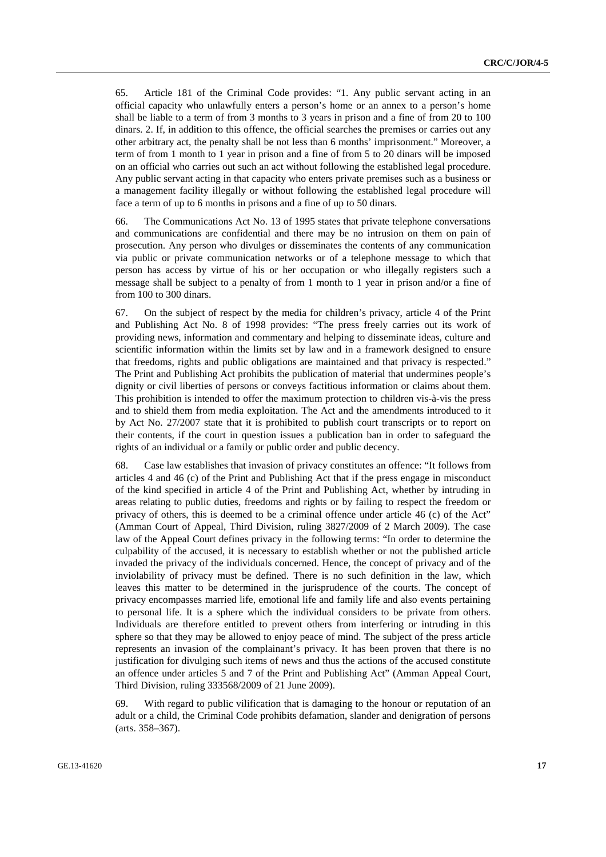65. Article 181 of the Criminal Code provides: "1. Any public servant acting in an official capacity who unlawfully enters a person's home or an annex to a person's home shall be liable to a term of from 3 months to 3 years in prison and a fine of from 20 to 100 dinars. 2. If, in addition to this offence, the official searches the premises or carries out any other arbitrary act, the penalty shall be not less than 6 months' imprisonment." Moreover, a term of from 1 month to 1 year in prison and a fine of from 5 to 20 dinars will be imposed on an official who carries out such an act without following the established legal procedure. Any public servant acting in that capacity who enters private premises such as a business or a management facility illegally or without following the established legal procedure will face a term of up to 6 months in prisons and a fine of up to 50 dinars.

66. The Communications Act No. 13 of 1995 states that private telephone conversations and communications are confidential and there may be no intrusion on them on pain of prosecution. Any person who divulges or disseminates the contents of any communication via public or private communication networks or of a telephone message to which that person has access by virtue of his or her occupation or who illegally registers such a message shall be subject to a penalty of from 1 month to 1 year in prison and/or a fine of from 100 to 300 dinars.

67. On the subject of respect by the media for children's privacy, article 4 of the Print and Publishing Act No. 8 of 1998 provides: "The press freely carries out its work of providing news, information and commentary and helping to disseminate ideas, culture and scientific information within the limits set by law and in a framework designed to ensure that freedoms, rights and public obligations are maintained and that privacy is respected." The Print and Publishing Act prohibits the publication of material that undermines people's dignity or civil liberties of persons or conveys factitious information or claims about them. This prohibition is intended to offer the maximum protection to children vis-à-vis the press and to shield them from media exploitation. The Act and the amendments introduced to it by Act No. 27/2007 state that it is prohibited to publish court transcripts or to report on their contents, if the court in question issues a publication ban in order to safeguard the rights of an individual or a family or public order and public decency.

68. Case law establishes that invasion of privacy constitutes an offence: "It follows from articles 4 and 46 (c) of the Print and Publishing Act that if the press engage in misconduct of the kind specified in article 4 of the Print and Publishing Act, whether by intruding in areas relating to public duties, freedoms and rights or by failing to respect the freedom or privacy of others, this is deemed to be a criminal offence under article 46 (c) of the Act" (Amman Court of Appeal, Third Division, ruling 3827/2009 of 2 March 2009). The case law of the Appeal Court defines privacy in the following terms: "In order to determine the culpability of the accused, it is necessary to establish whether or not the published article invaded the privacy of the individuals concerned. Hence, the concept of privacy and of the inviolability of privacy must be defined. There is no such definition in the law, which leaves this matter to be determined in the jurisprudence of the courts. The concept of privacy encompasses married life, emotional life and family life and also events pertaining to personal life. It is a sphere which the individual considers to be private from others. Individuals are therefore entitled to prevent others from interfering or intruding in this sphere so that they may be allowed to enjoy peace of mind. The subject of the press article represents an invasion of the complainant's privacy. It has been proven that there is no justification for divulging such items of news and thus the actions of the accused constitute an offence under articles 5 and 7 of the Print and Publishing Act" (Amman Appeal Court, Third Division, ruling 333568/2009 of 21 June 2009).

69. With regard to public vilification that is damaging to the honour or reputation of an adult or a child, the Criminal Code prohibits defamation, slander and denigration of persons (arts. 358–367).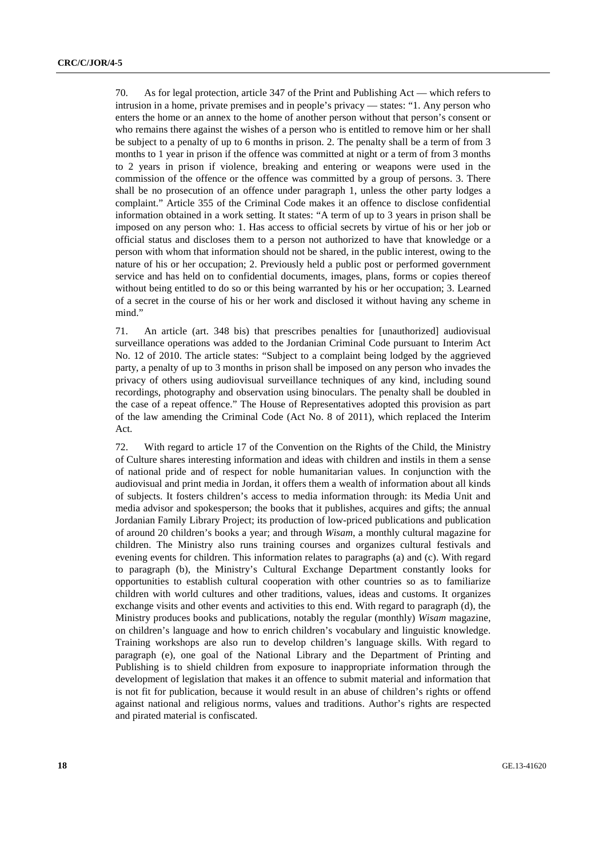70. As for legal protection, article 347 of the Print and Publishing Act — which refers to intrusion in a home, private premises and in people's privacy — states: "1. Any person who enters the home or an annex to the home of another person without that person's consent or who remains there against the wishes of a person who is entitled to remove him or her shall be subject to a penalty of up to 6 months in prison. 2. The penalty shall be a term of from 3 months to 1 year in prison if the offence was committed at night or a term of from 3 months to 2 years in prison if violence, breaking and entering or weapons were used in the commission of the offence or the offence was committed by a group of persons. 3. There shall be no prosecution of an offence under paragraph 1, unless the other party lodges a complaint." Article 355 of the Criminal Code makes it an offence to disclose confidential information obtained in a work setting. It states: "A term of up to 3 years in prison shall be imposed on any person who: 1. Has access to official secrets by virtue of his or her job or official status and discloses them to a person not authorized to have that knowledge or a person with whom that information should not be shared, in the public interest, owing to the nature of his or her occupation; 2. Previously held a public post or performed government service and has held on to confidential documents, images, plans, forms or copies thereof without being entitled to do so or this being warranted by his or her occupation; 3. Learned of a secret in the course of his or her work and disclosed it without having any scheme in mind."

71. An article (art. 348 bis) that prescribes penalties for [unauthorized] audiovisual surveillance operations was added to the Jordanian Criminal Code pursuant to Interim Act No. 12 of 2010. The article states: "Subject to a complaint being lodged by the aggrieved party, a penalty of up to 3 months in prison shall be imposed on any person who invades the privacy of others using audiovisual surveillance techniques of any kind, including sound recordings, photography and observation using binoculars. The penalty shall be doubled in the case of a repeat offence." The House of Representatives adopted this provision as part of the law amending the Criminal Code (Act No. 8 of 2011), which replaced the Interim Act.

72. With regard to article 17 of the Convention on the Rights of the Child, the Ministry of Culture shares interesting information and ideas with children and instils in them a sense of national pride and of respect for noble humanitarian values. In conjunction with the audiovisual and print media in Jordan, it offers them a wealth of information about all kinds of subjects. It fosters children's access to media information through: its Media Unit and media advisor and spokesperson; the books that it publishes, acquires and gifts; the annual Jordanian Family Library Project; its production of low-priced publications and publication of around 20 children's books a year; and through *Wisam*, a monthly cultural magazine for children. The Ministry also runs training courses and organizes cultural festivals and evening events for children. This information relates to paragraphs (a) and (c). With regard to paragraph (b), the Ministry's Cultural Exchange Department constantly looks for opportunities to establish cultural cooperation with other countries so as to familiarize children with world cultures and other traditions, values, ideas and customs. It organizes exchange visits and other events and activities to this end. With regard to paragraph (d), the Ministry produces books and publications, notably the regular (monthly) *Wisam* magazine, on children's language and how to enrich children's vocabulary and linguistic knowledge. Training workshops are also run to develop children's language skills. With regard to paragraph (e), one goal of the National Library and the Department of Printing and Publishing is to shield children from exposure to inappropriate information through the development of legislation that makes it an offence to submit material and information that is not fit for publication, because it would result in an abuse of children's rights or offend against national and religious norms, values and traditions. Author's rights are respected and pirated material is confiscated.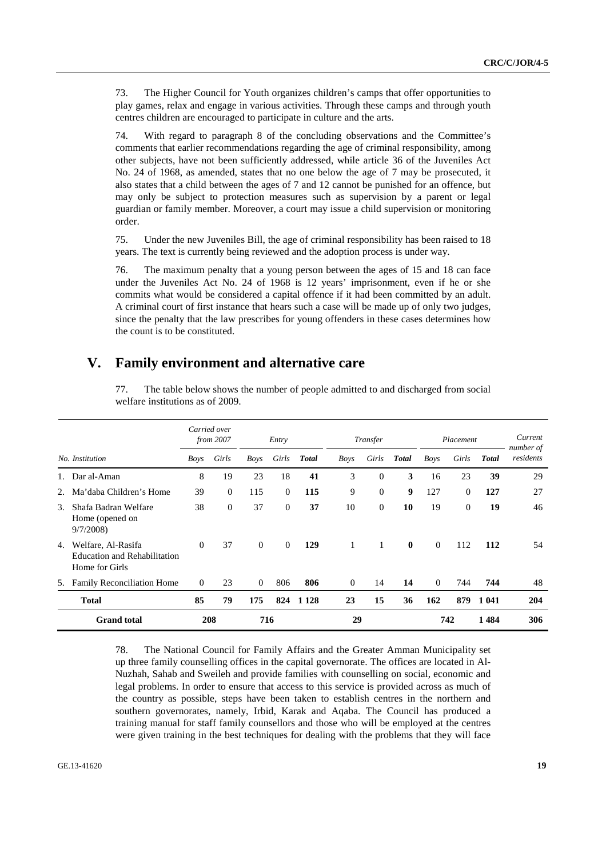73. The Higher Council for Youth organizes children's camps that offer opportunities to play games, relax and engage in various activities. Through these camps and through youth centres children are encouraged to participate in culture and the arts.

74. With regard to paragraph 8 of the concluding observations and the Committee's comments that earlier recommendations regarding the age of criminal responsibility, among other subjects, have not been sufficiently addressed, while article 36 of the Juveniles Act No. 24 of 1968, as amended, states that no one below the age of 7 may be prosecuted, it also states that a child between the ages of 7 and 12 cannot be punished for an offence, but may only be subject to protection measures such as supervision by a parent or legal guardian or family member. Moreover, a court may issue a child supervision or monitoring order.

75. Under the new Juveniles Bill, the age of criminal responsibility has been raised to 18 years. The text is currently being reviewed and the adoption process is under way.

76. The maximum penalty that a young person between the ages of 15 and 18 can face under the Juveniles Act No. 24 of 1968 is 12 years' imprisonment, even if he or she commits what would be considered a capital offence if it had been committed by an adult. A criminal court of first instance that hears such a case will be made up of only two judges, since the penalty that the law prescribes for young offenders in these cases determines how the count is to be constituted.

## **V. Family environment and alternative care**

|               |                                                                             |          | Carried over<br>from 2007 | Entry          |                | Transfer     |             | Placement      |              |          | Current<br>number of |              |           |
|---------------|-----------------------------------------------------------------------------|----------|---------------------------|----------------|----------------|--------------|-------------|----------------|--------------|----------|----------------------|--------------|-----------|
|               | No. Institution                                                             | Boys     | Girls                     | Boys           | Girls          | <b>Total</b> | <b>Boys</b> | Girls          | <b>Total</b> | Boys     | Girls                | <b>Total</b> | residents |
|               | Dar al-Aman                                                                 | 8        | 19                        | 23             | 18             | 41           | 3           | $\theta$       | 3            | 16       | 23                   | 39           | 29        |
| 2.            | Ma'daba Children's Home                                                     | 39       | $\mathbf{0}$              | 115            | $\overline{0}$ | 115          | 9           | $\overline{0}$ | 9            | 127      | $\overline{0}$       | 127          | 27        |
| $\mathcal{E}$ | Shafa Badran Welfare<br>Home (opened on<br>9/7/2008                         | 38       | $\mathbf{0}$              | 37             | $\Omega$       | 37           | 10          | $\mathbf{0}$   | 10           | 19       | $\overline{0}$       | 19           | 46        |
| 4.            | Welfare, Al-Rasifa<br><b>Education and Rehabilitation</b><br>Home for Girls | $\Omega$ | 37                        | $\Omega$       | $\Omega$       | 129          |             | 1              | $\mathbf{0}$ | $\Omega$ | 112                  | 112          | 54        |
| 5.            | Family Reconciliation Home                                                  | $\theta$ | 23                        | $\overline{0}$ | 806            | 806          | $\Omega$    | 14             | 14           | $\Omega$ | 744                  | 744          | 48        |
|               | <b>Total</b>                                                                | 85       | 79                        | 175            | 824            | 1 1 2 8      | 23          | 15             | 36           | 162      | 879                  | 1 041        | 204       |
|               | <b>Grand</b> total                                                          |          | 208                       |                | 716            |              | 29          |                |              |          | 742                  | 1484         | 306       |

77. The table below shows the number of people admitted to and discharged from social welfare institutions as of 2009.

78. The National Council for Family Affairs and the Greater Amman Municipality set up three family counselling offices in the capital governorate. The offices are located in Al-Nuzhah, Sahab and Sweileh and provide families with counselling on social, economic and legal problems. In order to ensure that access to this service is provided across as much of the country as possible, steps have been taken to establish centres in the northern and southern governorates, namely, Irbid, Karak and Aqaba. The Council has produced a training manual for staff family counsellors and those who will be employed at the centres were given training in the best techniques for dealing with the problems that they will face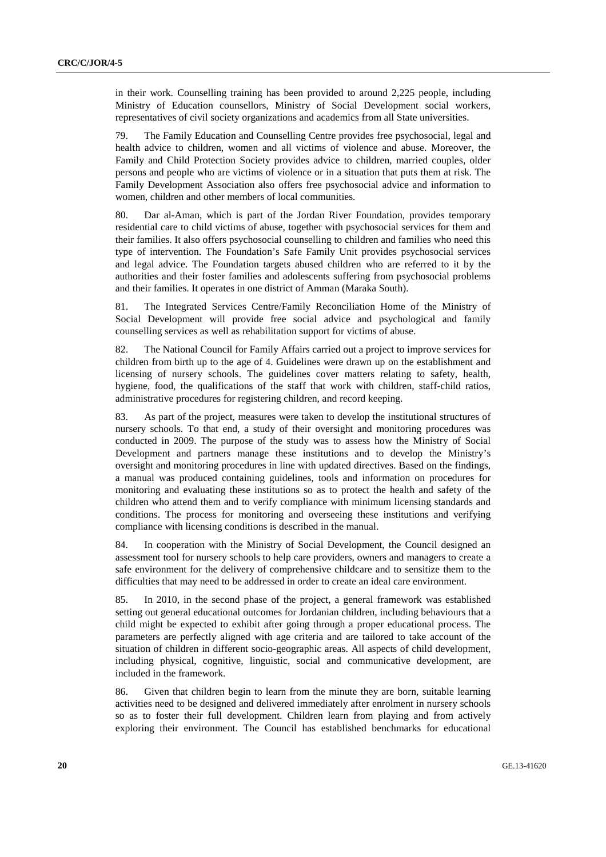in their work. Counselling training has been provided to around 2,225 people, including Ministry of Education counsellors, Ministry of Social Development social workers, representatives of civil society organizations and academics from all State universities.

79. The Family Education and Counselling Centre provides free psychosocial, legal and health advice to children, women and all victims of violence and abuse. Moreover, the Family and Child Protection Society provides advice to children, married couples, older persons and people who are victims of violence or in a situation that puts them at risk. The Family Development Association also offers free psychosocial advice and information to women, children and other members of local communities.

80. Dar al-Aman, which is part of the Jordan River Foundation, provides temporary residential care to child victims of abuse, together with psychosocial services for them and their families. It also offers psychosocial counselling to children and families who need this type of intervention. The Foundation's Safe Family Unit provides psychosocial services and legal advice. The Foundation targets abused children who are referred to it by the authorities and their foster families and adolescents suffering from psychosocial problems and their families. It operates in one district of Amman (Maraka South).

81. The Integrated Services Centre/Family Reconciliation Home of the Ministry of Social Development will provide free social advice and psychological and family counselling services as well as rehabilitation support for victims of abuse.

82. The National Council for Family Affairs carried out a project to improve services for children from birth up to the age of 4. Guidelines were drawn up on the establishment and licensing of nursery schools. The guidelines cover matters relating to safety, health, hygiene, food, the qualifications of the staff that work with children, staff-child ratios, administrative procedures for registering children, and record keeping.

83. As part of the project, measures were taken to develop the institutional structures of nursery schools. To that end, a study of their oversight and monitoring procedures was conducted in 2009. The purpose of the study was to assess how the Ministry of Social Development and partners manage these institutions and to develop the Ministry's oversight and monitoring procedures in line with updated directives. Based on the findings, a manual was produced containing guidelines, tools and information on procedures for monitoring and evaluating these institutions so as to protect the health and safety of the children who attend them and to verify compliance with minimum licensing standards and conditions. The process for monitoring and overseeing these institutions and verifying compliance with licensing conditions is described in the manual.

84. In cooperation with the Ministry of Social Development, the Council designed an assessment tool for nursery schools to help care providers, owners and managers to create a safe environment for the delivery of comprehensive childcare and to sensitize them to the difficulties that may need to be addressed in order to create an ideal care environment.

85. In 2010, in the second phase of the project, a general framework was established setting out general educational outcomes for Jordanian children, including behaviours that a child might be expected to exhibit after going through a proper educational process. The parameters are perfectly aligned with age criteria and are tailored to take account of the situation of children in different socio-geographic areas. All aspects of child development, including physical, cognitive, linguistic, social and communicative development, are included in the framework.

86. Given that children begin to learn from the minute they are born, suitable learning activities need to be designed and delivered immediately after enrolment in nursery schools so as to foster their full development. Children learn from playing and from actively exploring their environment. The Council has established benchmarks for educational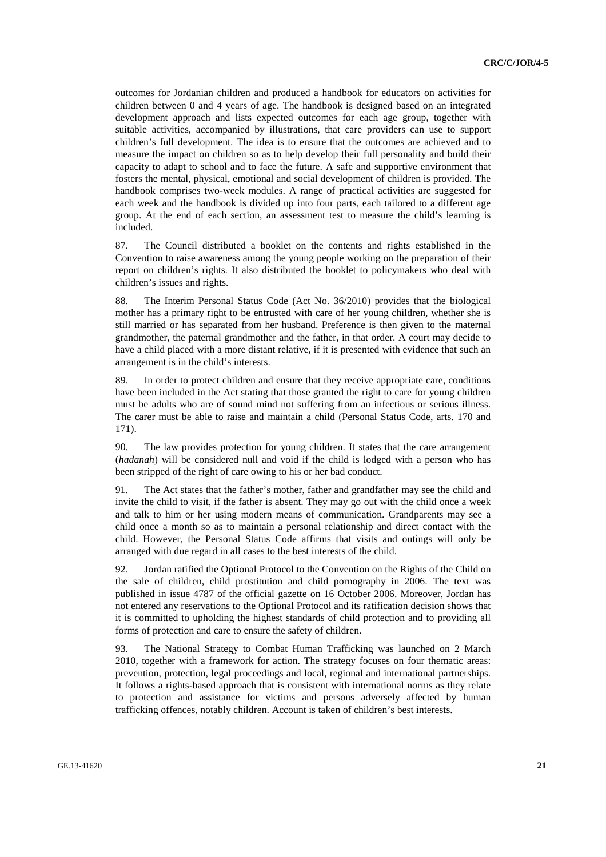outcomes for Jordanian children and produced a handbook for educators on activities for children between 0 and 4 years of age. The handbook is designed based on an integrated development approach and lists expected outcomes for each age group, together with suitable activities, accompanied by illustrations, that care providers can use to support children's full development. The idea is to ensure that the outcomes are achieved and to measure the impact on children so as to help develop their full personality and build their capacity to adapt to school and to face the future. A safe and supportive environment that fosters the mental, physical, emotional and social development of children is provided. The handbook comprises two-week modules. A range of practical activities are suggested for each week and the handbook is divided up into four parts, each tailored to a different age group. At the end of each section, an assessment test to measure the child's learning is included.

87. The Council distributed a booklet on the contents and rights established in the Convention to raise awareness among the young people working on the preparation of their report on children's rights. It also distributed the booklet to policymakers who deal with children's issues and rights.

88. The Interim Personal Status Code (Act No. 36/2010) provides that the biological mother has a primary right to be entrusted with care of her young children, whether she is still married or has separated from her husband. Preference is then given to the maternal grandmother, the paternal grandmother and the father, in that order. A court may decide to have a child placed with a more distant relative, if it is presented with evidence that such an arrangement is in the child's interests.

89. In order to protect children and ensure that they receive appropriate care, conditions have been included in the Act stating that those granted the right to care for young children must be adults who are of sound mind not suffering from an infectious or serious illness. The carer must be able to raise and maintain a child (Personal Status Code, arts. 170 and 171).

90. The law provides protection for young children. It states that the care arrangement (*hadanah*) will be considered null and void if the child is lodged with a person who has been stripped of the right of care owing to his or her bad conduct.

91. The Act states that the father's mother, father and grandfather may see the child and invite the child to visit, if the father is absent. They may go out with the child once a week and talk to him or her using modern means of communication. Grandparents may see a child once a month so as to maintain a personal relationship and direct contact with the child. However, the Personal Status Code affirms that visits and outings will only be arranged with due regard in all cases to the best interests of the child.

92. Jordan ratified the Optional Protocol to the Convention on the Rights of the Child on the sale of children, child prostitution and child pornography in 2006. The text was published in issue 4787 of the official gazette on 16 October 2006. Moreover, Jordan has not entered any reservations to the Optional Protocol and its ratification decision shows that it is committed to upholding the highest standards of child protection and to providing all forms of protection and care to ensure the safety of children.

93. The National Strategy to Combat Human Trafficking was launched on 2 March 2010, together with a framework for action. The strategy focuses on four thematic areas: prevention, protection, legal proceedings and local, regional and international partnerships. It follows a rights-based approach that is consistent with international norms as they relate to protection and assistance for victims and persons adversely affected by human trafficking offences, notably children. Account is taken of children's best interests.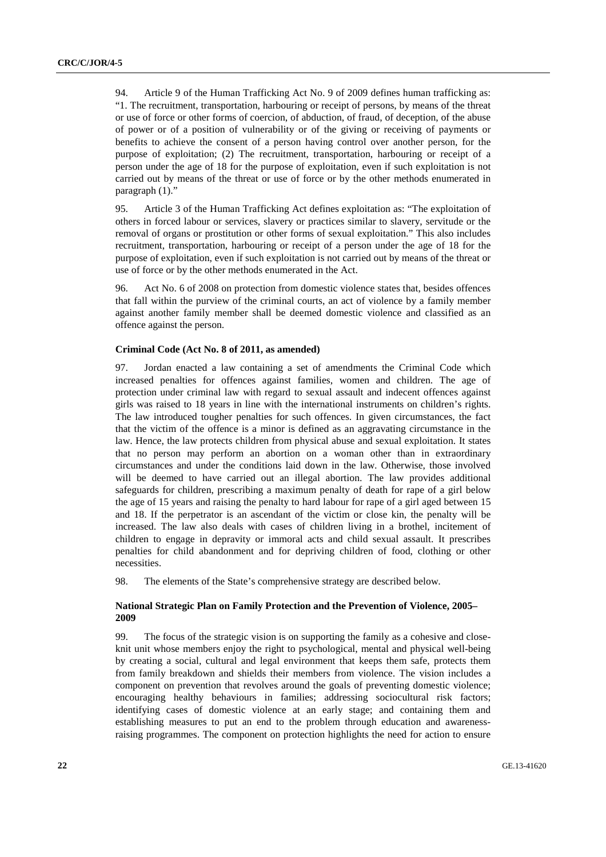94. Article 9 of the Human Trafficking Act No. 9 of 2009 defines human trafficking as: "1. The recruitment, transportation, harbouring or receipt of persons, by means of the threat or use of force or other forms of coercion, of abduction, of fraud, of deception, of the abuse of power or of a position of vulnerability or of the giving or receiving of payments or benefits to achieve the consent of a person having control over another person, for the purpose of exploitation; (2) The recruitment, transportation, harbouring or receipt of a person under the age of 18 for the purpose of exploitation, even if such exploitation is not carried out by means of the threat or use of force or by the other methods enumerated in paragraph (1)."

95. Article 3 of the Human Trafficking Act defines exploitation as: "The exploitation of others in forced labour or services, slavery or practices similar to slavery, servitude or the removal of organs or prostitution or other forms of sexual exploitation." This also includes recruitment, transportation, harbouring or receipt of a person under the age of 18 for the purpose of exploitation, even if such exploitation is not carried out by means of the threat or use of force or by the other methods enumerated in the Act.

96. Act No. 6 of 2008 on protection from domestic violence states that, besides offences that fall within the purview of the criminal courts, an act of violence by a family member against another family member shall be deemed domestic violence and classified as an offence against the person.

#### **Criminal Code (Act No. 8 of 2011, as amended)**

97. Jordan enacted a law containing a set of amendments the Criminal Code which increased penalties for offences against families, women and children. The age of protection under criminal law with regard to sexual assault and indecent offences against girls was raised to 18 years in line with the international instruments on children's rights. The law introduced tougher penalties for such offences. In given circumstances, the fact that the victim of the offence is a minor is defined as an aggravating circumstance in the law. Hence, the law protects children from physical abuse and sexual exploitation. It states that no person may perform an abortion on a woman other than in extraordinary circumstances and under the conditions laid down in the law. Otherwise, those involved will be deemed to have carried out an illegal abortion. The law provides additional safeguards for children, prescribing a maximum penalty of death for rape of a girl below the age of 15 years and raising the penalty to hard labour for rape of a girl aged between 15 and 18. If the perpetrator is an ascendant of the victim or close kin, the penalty will be increased. The law also deals with cases of children living in a brothel, incitement of children to engage in depravity or immoral acts and child sexual assault. It prescribes penalties for child abandonment and for depriving children of food, clothing or other necessities.

98. The elements of the State's comprehensive strategy are described below.

### **National Strategic Plan on Family Protection and the Prevention of Violence, 2005– 2009**

99. The focus of the strategic vision is on supporting the family as a cohesive and closeknit unit whose members enjoy the right to psychological, mental and physical well-being by creating a social, cultural and legal environment that keeps them safe, protects them from family breakdown and shields their members from violence. The vision includes a component on prevention that revolves around the goals of preventing domestic violence; encouraging healthy behaviours in families; addressing sociocultural risk factors; identifying cases of domestic violence at an early stage; and containing them and establishing measures to put an end to the problem through education and awarenessraising programmes. The component on protection highlights the need for action to ensure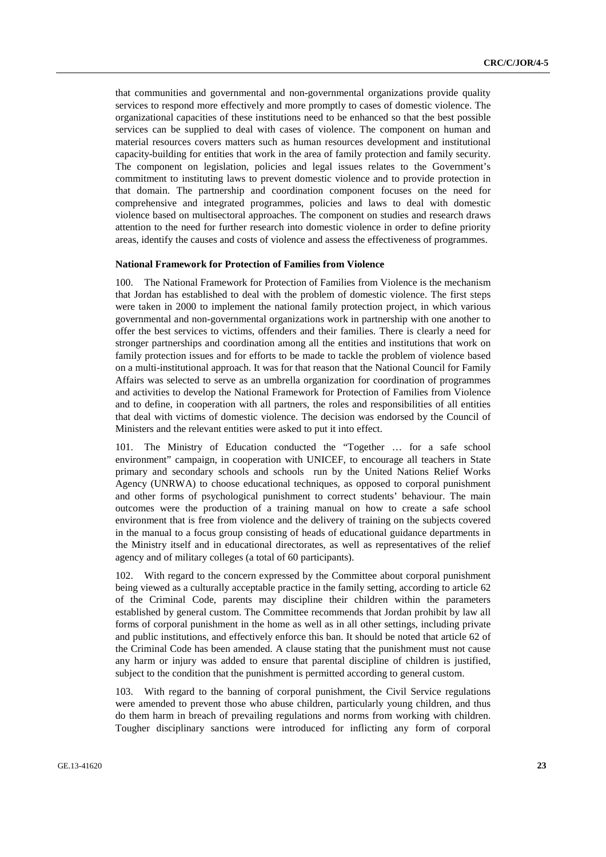that communities and governmental and non-governmental organizations provide quality services to respond more effectively and more promptly to cases of domestic violence. The organizational capacities of these institutions need to be enhanced so that the best possible services can be supplied to deal with cases of violence. The component on human and material resources covers matters such as human resources development and institutional capacity-building for entities that work in the area of family protection and family security. The component on legislation, policies and legal issues relates to the Government's commitment to instituting laws to prevent domestic violence and to provide protection in that domain. The partnership and coordination component focuses on the need for comprehensive and integrated programmes, policies and laws to deal with domestic violence based on multisectoral approaches. The component on studies and research draws attention to the need for further research into domestic violence in order to define priority areas, identify the causes and costs of violence and assess the effectiveness of programmes.

#### **National Framework for Protection of Families from Violence**

100. The National Framework for Protection of Families from Violence is the mechanism that Jordan has established to deal with the problem of domestic violence. The first steps were taken in 2000 to implement the national family protection project, in which various governmental and non-governmental organizations work in partnership with one another to offer the best services to victims, offenders and their families. There is clearly a need for stronger partnerships and coordination among all the entities and institutions that work on family protection issues and for efforts to be made to tackle the problem of violence based on a multi-institutional approach. It was for that reason that the National Council for Family Affairs was selected to serve as an umbrella organization for coordination of programmes and activities to develop the National Framework for Protection of Families from Violence and to define, in cooperation with all partners, the roles and responsibilities of all entities that deal with victims of domestic violence. The decision was endorsed by the Council of Ministers and the relevant entities were asked to put it into effect.

101. The Ministry of Education conducted the "Together … for a safe school environment" campaign, in cooperation with UNICEF, to encourage all teachers in State primary and secondary schools and schools run by the United Nations Relief Works Agency (UNRWA) to choose educational techniques, as opposed to corporal punishment and other forms of psychological punishment to correct students' behaviour. The main outcomes were the production of a training manual on how to create a safe school environment that is free from violence and the delivery of training on the subjects covered in the manual to a focus group consisting of heads of educational guidance departments in the Ministry itself and in educational directorates, as well as representatives of the relief agency and of military colleges (a total of 60 participants).

102. With regard to the concern expressed by the Committee about corporal punishment being viewed as a culturally acceptable practice in the family setting, according to article 62 of the Criminal Code, parents may discipline their children within the parameters established by general custom. The Committee recommends that Jordan prohibit by law all forms of corporal punishment in the home as well as in all other settings, including private and public institutions, and effectively enforce this ban. It should be noted that article 62 of the Criminal Code has been amended. A clause stating that the punishment must not cause any harm or injury was added to ensure that parental discipline of children is justified, subject to the condition that the punishment is permitted according to general custom.

103. With regard to the banning of corporal punishment, the Civil Service regulations were amended to prevent those who abuse children, particularly young children, and thus do them harm in breach of prevailing regulations and norms from working with children. Tougher disciplinary sanctions were introduced for inflicting any form of corporal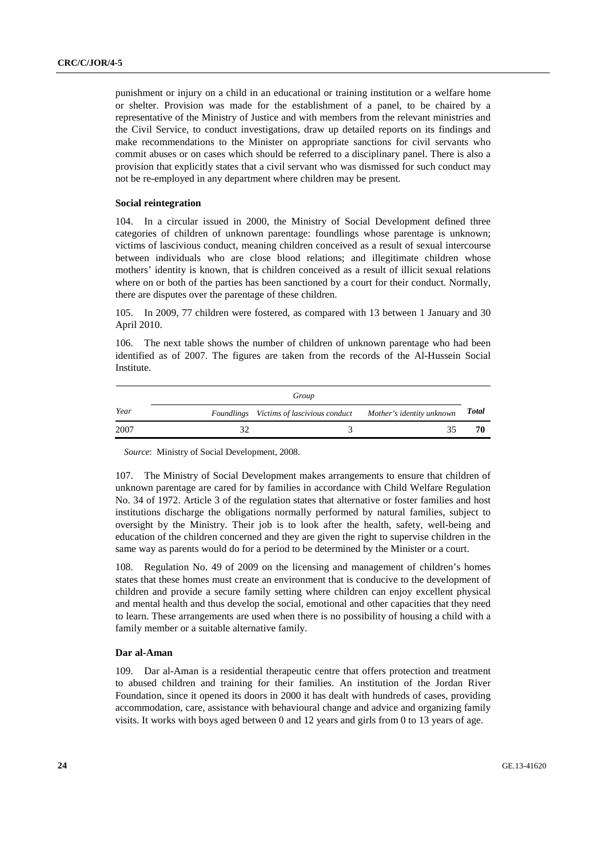punishment or injury on a child in an educational or training institution or a welfare home or shelter. Provision was made for the establishment of a panel, to be chaired by a representative of the Ministry of Justice and with members from the relevant ministries and the Civil Service, to conduct investigations, draw up detailed reports on its findings and make recommendations to the Minister on appropriate sanctions for civil servants who commit abuses or on cases which should be referred to a disciplinary panel. There is also a provision that explicitly states that a civil servant who was dismissed for such conduct may not be re-employed in any department where children may be present.

#### **Social reintegration**

104. In a circular issued in 2000, the Ministry of Social Development defined three categories of children of unknown parentage: foundlings whose parentage is unknown; victims of lascivious conduct, meaning children conceived as a result of sexual intercourse between individuals who are close blood relations; and illegitimate children whose mothers' identity is known, that is children conceived as a result of illicit sexual relations where on or both of the parties has been sanctioned by a court for their conduct. Normally, there are disputes over the parentage of these children.

105. In 2009, 77 children were fostered, as compared with 13 between 1 January and 30 April 2010.

106. The next table shows the number of children of unknown parentage who had been identified as of 2007. The figures are taken from the records of the Al-Hussein Social Institute.

|      | Group                                    |                           |       |
|------|------------------------------------------|---------------------------|-------|
| Year | Foundlings Victims of lascivious conduct | Mother's identity unknown | Total |
| 2007 |                                          | 35                        | 70    |

*Source*: Ministry of Social Development, 2008.

107. The Ministry of Social Development makes arrangements to ensure that children of unknown parentage are cared for by families in accordance with Child Welfare Regulation No. 34 of 1972. Article 3 of the regulation states that alternative or foster families and host institutions discharge the obligations normally performed by natural families, subject to oversight by the Ministry. Their job is to look after the health, safety, well-being and education of the children concerned and they are given the right to supervise children in the same way as parents would do for a period to be determined by the Minister or a court.

108. Regulation No. 49 of 2009 on the licensing and management of children's homes states that these homes must create an environment that is conducive to the development of children and provide a secure family setting where children can enjoy excellent physical and mental health and thus develop the social, emotional and other capacities that they need to learn. These arrangements are used when there is no possibility of housing a child with a family member or a suitable alternative family.

#### **Dar al-Aman**

109. Dar al-Aman is a residential therapeutic centre that offers protection and treatment to abused children and training for their families. An institution of the Jordan River Foundation, since it opened its doors in 2000 it has dealt with hundreds of cases, providing accommodation, care, assistance with behavioural change and advice and organizing family visits. It works with boys aged between 0 and 12 years and girls from 0 to 13 years of age.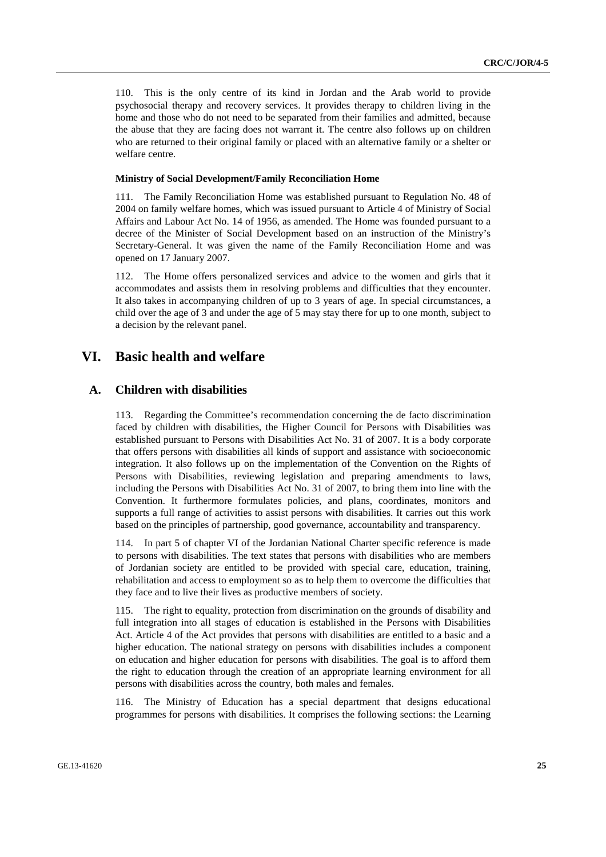110. This is the only centre of its kind in Jordan and the Arab world to provide psychosocial therapy and recovery services. It provides therapy to children living in the home and those who do not need to be separated from their families and admitted, because the abuse that they are facing does not warrant it. The centre also follows up on children who are returned to their original family or placed with an alternative family or a shelter or welfare centre.

#### **Ministry of Social Development/Family Reconciliation Home**

111. The Family Reconciliation Home was established pursuant to Regulation No. 48 of 2004 on family welfare homes, which was issued pursuant to Article 4 of Ministry of Social Affairs and Labour Act No. 14 of 1956, as amended. The Home was founded pursuant to a decree of the Minister of Social Development based on an instruction of the Ministry's Secretary-General. It was given the name of the Family Reconciliation Home and was opened on 17 January 2007.

112. The Home offers personalized services and advice to the women and girls that it accommodates and assists them in resolving problems and difficulties that they encounter. It also takes in accompanying children of up to 3 years of age. In special circumstances, a child over the age of 3 and under the age of 5 may stay there for up to one month, subject to a decision by the relevant panel.

## **VI. Basic health and welfare**

## **A. Children with disabilities**

113. Regarding the Committee's recommendation concerning the de facto discrimination faced by children with disabilities, the Higher Council for Persons with Disabilities was established pursuant to Persons with Disabilities Act No. 31 of 2007. It is a body corporate that offers persons with disabilities all kinds of support and assistance with socioeconomic integration. It also follows up on the implementation of the Convention on the Rights of Persons with Disabilities, reviewing legislation and preparing amendments to laws, including the Persons with Disabilities Act No. 31 of 2007, to bring them into line with the Convention. It furthermore formulates policies, and plans, coordinates, monitors and supports a full range of activities to assist persons with disabilities. It carries out this work based on the principles of partnership, good governance, accountability and transparency.

114. In part 5 of chapter VI of the Jordanian National Charter specific reference is made to persons with disabilities. The text states that persons with disabilities who are members of Jordanian society are entitled to be provided with special care, education, training, rehabilitation and access to employment so as to help them to overcome the difficulties that they face and to live their lives as productive members of society.

115. The right to equality, protection from discrimination on the grounds of disability and full integration into all stages of education is established in the Persons with Disabilities Act. Article 4 of the Act provides that persons with disabilities are entitled to a basic and a higher education. The national strategy on persons with disabilities includes a component on education and higher education for persons with disabilities. The goal is to afford them the right to education through the creation of an appropriate learning environment for all persons with disabilities across the country, both males and females.

116. The Ministry of Education has a special department that designs educational programmes for persons with disabilities. It comprises the following sections: the Learning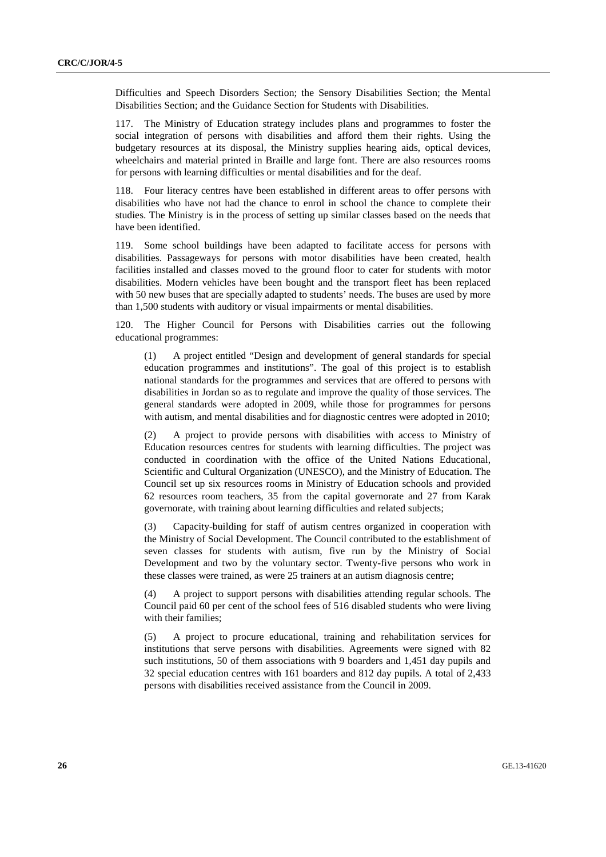Difficulties and Speech Disorders Section; the Sensory Disabilities Section; the Mental Disabilities Section; and the Guidance Section for Students with Disabilities.

117. The Ministry of Education strategy includes plans and programmes to foster the social integration of persons with disabilities and afford them their rights. Using the budgetary resources at its disposal, the Ministry supplies hearing aids, optical devices, wheelchairs and material printed in Braille and large font. There are also resources rooms for persons with learning difficulties or mental disabilities and for the deaf.

118. Four literacy centres have been established in different areas to offer persons with disabilities who have not had the chance to enrol in school the chance to complete their studies. The Ministry is in the process of setting up similar classes based on the needs that have been identified.

119. Some school buildings have been adapted to facilitate access for persons with disabilities. Passageways for persons with motor disabilities have been created, health facilities installed and classes moved to the ground floor to cater for students with motor disabilities. Modern vehicles have been bought and the transport fleet has been replaced with 50 new buses that are specially adapted to students' needs. The buses are used by more than 1,500 students with auditory or visual impairments or mental disabilities.

120. The Higher Council for Persons with Disabilities carries out the following educational programmes:

(1) A project entitled "Design and development of general standards for special education programmes and institutions". The goal of this project is to establish national standards for the programmes and services that are offered to persons with disabilities in Jordan so as to regulate and improve the quality of those services. The general standards were adopted in 2009, while those for programmes for persons with autism, and mental disabilities and for diagnostic centres were adopted in 2010;

(2) A project to provide persons with disabilities with access to Ministry of Education resources centres for students with learning difficulties. The project was conducted in coordination with the office of the United Nations Educational, Scientific and Cultural Organization (UNESCO), and the Ministry of Education. The Council set up six resources rooms in Ministry of Education schools and provided 62 resources room teachers, 35 from the capital governorate and 27 from Karak governorate, with training about learning difficulties and related subjects;

(3) Capacity-building for staff of autism centres organized in cooperation with the Ministry of Social Development. The Council contributed to the establishment of seven classes for students with autism, five run by the Ministry of Social Development and two by the voluntary sector. Twenty-five persons who work in these classes were trained, as were 25 trainers at an autism diagnosis centre;

(4) A project to support persons with disabilities attending regular schools. The Council paid 60 per cent of the school fees of 516 disabled students who were living with their families;

(5) A project to procure educational, training and rehabilitation services for institutions that serve persons with disabilities. Agreements were signed with 82 such institutions, 50 of them associations with 9 boarders and 1,451 day pupils and 32 special education centres with 161 boarders and 812 day pupils. A total of 2,433 persons with disabilities received assistance from the Council in 2009.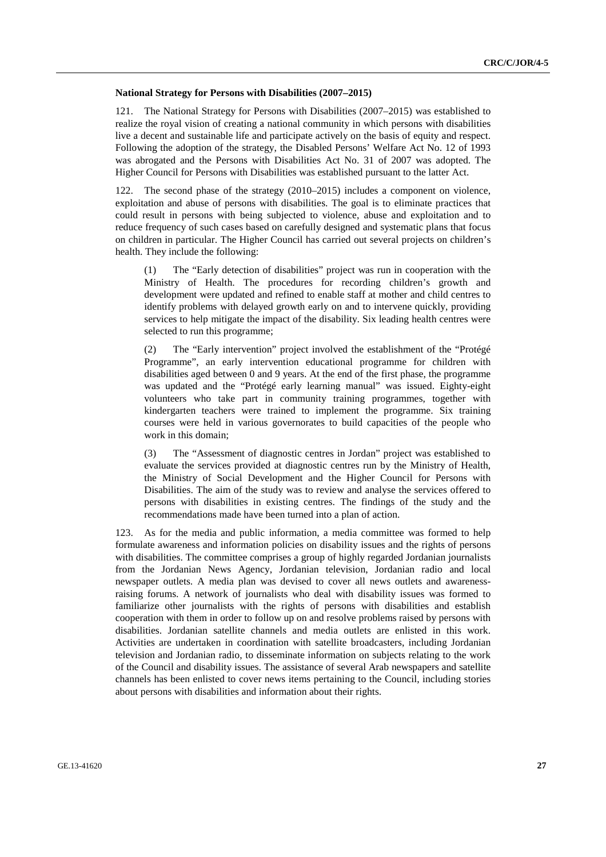#### **National Strategy for Persons with Disabilities (2007–2015)**

121. The National Strategy for Persons with Disabilities (2007–2015) was established to realize the royal vision of creating a national community in which persons with disabilities live a decent and sustainable life and participate actively on the basis of equity and respect. Following the adoption of the strategy, the Disabled Persons' Welfare Act No. 12 of 1993 was abrogated and the Persons with Disabilities Act No. 31 of 2007 was adopted. The Higher Council for Persons with Disabilities was established pursuant to the latter Act.

122. The second phase of the strategy (2010–2015) includes a component on violence, exploitation and abuse of persons with disabilities. The goal is to eliminate practices that could result in persons with being subjected to violence, abuse and exploitation and to reduce frequency of such cases based on carefully designed and systematic plans that focus on children in particular. The Higher Council has carried out several projects on children's health. They include the following:

(1) The "Early detection of disabilities" project was run in cooperation with the Ministry of Health. The procedures for recording children's growth and development were updated and refined to enable staff at mother and child centres to identify problems with delayed growth early on and to intervene quickly, providing services to help mitigate the impact of the disability. Six leading health centres were selected to run this programme;

(2) The "Early intervention" project involved the establishment of the "Protégé Programme", an early intervention educational programme for children with disabilities aged between 0 and 9 years. At the end of the first phase, the programme was updated and the "Protégé early learning manual" was issued. Eighty-eight volunteers who take part in community training programmes, together with kindergarten teachers were trained to implement the programme. Six training courses were held in various governorates to build capacities of the people who work in this domain;

(3) The "Assessment of diagnostic centres in Jordan" project was established to evaluate the services provided at diagnostic centres run by the Ministry of Health, the Ministry of Social Development and the Higher Council for Persons with Disabilities. The aim of the study was to review and analyse the services offered to persons with disabilities in existing centres. The findings of the study and the recommendations made have been turned into a plan of action.

123. As for the media and public information, a media committee was formed to help formulate awareness and information policies on disability issues and the rights of persons with disabilities. The committee comprises a group of highly regarded Jordanian journalists from the Jordanian News Agency, Jordanian television, Jordanian radio and local newspaper outlets. A media plan was devised to cover all news outlets and awarenessraising forums. A network of journalists who deal with disability issues was formed to familiarize other journalists with the rights of persons with disabilities and establish cooperation with them in order to follow up on and resolve problems raised by persons with disabilities. Jordanian satellite channels and media outlets are enlisted in this work. Activities are undertaken in coordination with satellite broadcasters, including Jordanian television and Jordanian radio, to disseminate information on subjects relating to the work of the Council and disability issues. The assistance of several Arab newspapers and satellite channels has been enlisted to cover news items pertaining to the Council, including stories about persons with disabilities and information about their rights.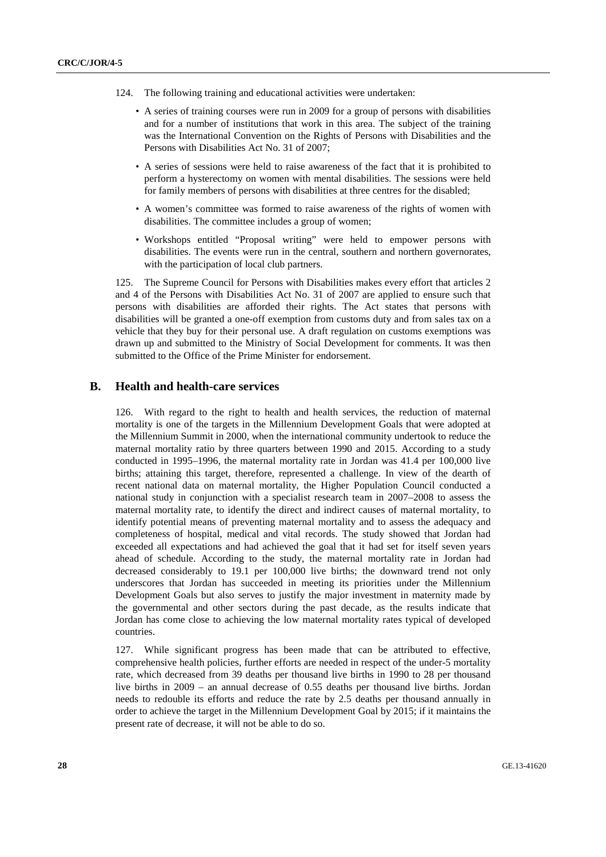- 124. The following training and educational activities were undertaken:
	- A series of training courses were run in 2009 for a group of persons with disabilities and for a number of institutions that work in this area. The subject of the training was the International Convention on the Rights of Persons with Disabilities and the Persons with Disabilities Act No. 31 of 2007;
	- A series of sessions were held to raise awareness of the fact that it is prohibited to perform a hysterectomy on women with mental disabilities. The sessions were held for family members of persons with disabilities at three centres for the disabled;
	- A women's committee was formed to raise awareness of the rights of women with disabilities. The committee includes a group of women;
	- Workshops entitled "Proposal writing" were held to empower persons with disabilities. The events were run in the central, southern and northern governorates, with the participation of local club partners.

125. The Supreme Council for Persons with Disabilities makes every effort that articles 2 and 4 of the Persons with Disabilities Act No. 31 of 2007 are applied to ensure such that persons with disabilities are afforded their rights. The Act states that persons with disabilities will be granted a one-off exemption from customs duty and from sales tax on a vehicle that they buy for their personal use. A draft regulation on customs exemptions was drawn up and submitted to the Ministry of Social Development for comments. It was then submitted to the Office of the Prime Minister for endorsement.

## **B. Health and health-care services**

126. With regard to the right to health and health services, the reduction of maternal mortality is one of the targets in the Millennium Development Goals that were adopted at the Millennium Summit in 2000, when the international community undertook to reduce the maternal mortality ratio by three quarters between 1990 and 2015. According to a study conducted in 1995–1996, the maternal mortality rate in Jordan was 41.4 per 100,000 live births; attaining this target, therefore, represented a challenge. In view of the dearth of recent national data on maternal mortality, the Higher Population Council conducted a national study in conjunction with a specialist research team in 2007–2008 to assess the maternal mortality rate, to identify the direct and indirect causes of maternal mortality, to identify potential means of preventing maternal mortality and to assess the adequacy and completeness of hospital, medical and vital records. The study showed that Jordan had exceeded all expectations and had achieved the goal that it had set for itself seven years ahead of schedule. According to the study, the maternal mortality rate in Jordan had decreased considerably to 19.1 per 100,000 live births; the downward trend not only underscores that Jordan has succeeded in meeting its priorities under the Millennium Development Goals but also serves to justify the major investment in maternity made by the governmental and other sectors during the past decade, as the results indicate that Jordan has come close to achieving the low maternal mortality rates typical of developed countries.

127. While significant progress has been made that can be attributed to effective, comprehensive health policies, further efforts are needed in respect of the under-5 mortality rate, which decreased from 39 deaths per thousand live births in 1990 to 28 per thousand live births in 2009 – an annual decrease of 0.55 deaths per thousand live births. Jordan needs to redouble its efforts and reduce the rate by 2.5 deaths per thousand annually in order to achieve the target in the Millennium Development Goal by 2015; if it maintains the present rate of decrease, it will not be able to do so.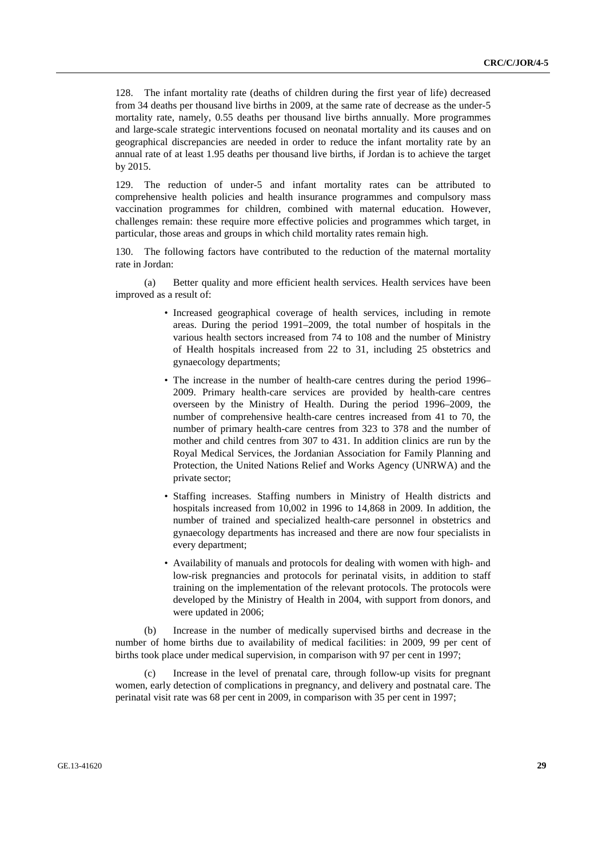128. The infant mortality rate (deaths of children during the first year of life) decreased from 34 deaths per thousand live births in 2009, at the same rate of decrease as the under-5 mortality rate, namely, 0.55 deaths per thousand live births annually. More programmes and large-scale strategic interventions focused on neonatal mortality and its causes and on geographical discrepancies are needed in order to reduce the infant mortality rate by an annual rate of at least 1.95 deaths per thousand live births, if Jordan is to achieve the target by 2015.

129. The reduction of under-5 and infant mortality rates can be attributed to comprehensive health policies and health insurance programmes and compulsory mass vaccination programmes for children, combined with maternal education. However, challenges remain: these require more effective policies and programmes which target, in particular, those areas and groups in which child mortality rates remain high.

130. The following factors have contributed to the reduction of the maternal mortality rate in Jordan:

 (a) Better quality and more efficient health services. Health services have been improved as a result of:

- Increased geographical coverage of health services, including in remote areas. During the period 1991–2009, the total number of hospitals in the various health sectors increased from 74 to 108 and the number of Ministry of Health hospitals increased from 22 to 31, including 25 obstetrics and gynaecology departments;
- The increase in the number of health-care centres during the period 1996– 2009. Primary health-care services are provided by health-care centres overseen by the Ministry of Health. During the period 1996–2009, the number of comprehensive health-care centres increased from 41 to 70, the number of primary health-care centres from 323 to 378 and the number of mother and child centres from 307 to 431. In addition clinics are run by the Royal Medical Services, the Jordanian Association for Family Planning and Protection, the United Nations Relief and Works Agency (UNRWA) and the private sector;
- Staffing increases. Staffing numbers in Ministry of Health districts and hospitals increased from 10,002 in 1996 to 14,868 in 2009. In addition, the number of trained and specialized health-care personnel in obstetrics and gynaecology departments has increased and there are now four specialists in every department;
- Availability of manuals and protocols for dealing with women with high- and low-risk pregnancies and protocols for perinatal visits, in addition to staff training on the implementation of the relevant protocols. The protocols were developed by the Ministry of Health in 2004, with support from donors, and were updated in 2006;

 (b) Increase in the number of medically supervised births and decrease in the number of home births due to availability of medical facilities: in 2009, 99 per cent of births took place under medical supervision, in comparison with 97 per cent in 1997;

Increase in the level of prenatal care, through follow-up visits for pregnant women, early detection of complications in pregnancy, and delivery and postnatal care. The perinatal visit rate was 68 per cent in 2009, in comparison with 35 per cent in 1997;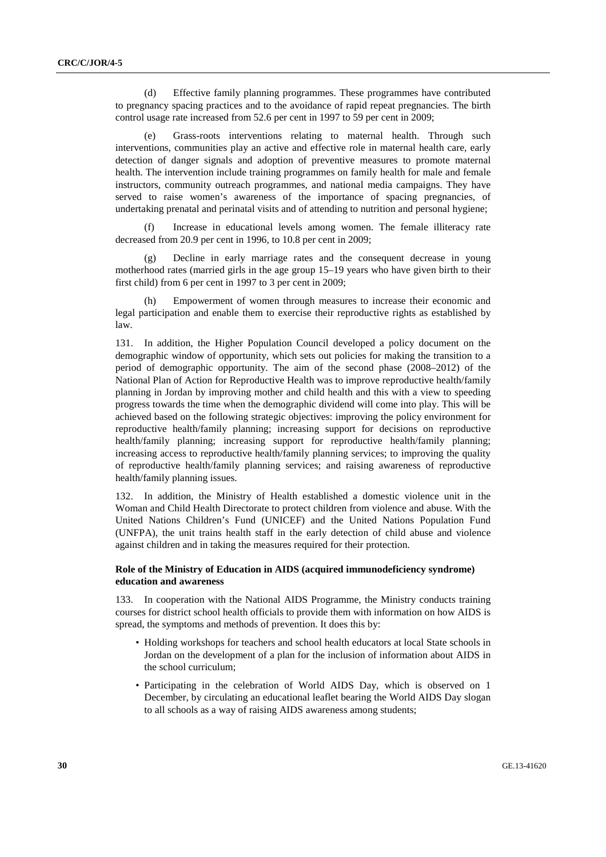(d) Effective family planning programmes. These programmes have contributed to pregnancy spacing practices and to the avoidance of rapid repeat pregnancies. The birth control usage rate increased from 52.6 per cent in 1997 to 59 per cent in 2009;

 (e) Grass-roots interventions relating to maternal health. Through such interventions, communities play an active and effective role in maternal health care, early detection of danger signals and adoption of preventive measures to promote maternal health. The intervention include training programmes on family health for male and female instructors, community outreach programmes, and national media campaigns. They have served to raise women's awareness of the importance of spacing pregnancies, of undertaking prenatal and perinatal visits and of attending to nutrition and personal hygiene;

Increase in educational levels among women. The female illiteracy rate decreased from 20.9 per cent in 1996, to 10.8 per cent in 2009;

 (g) Decline in early marriage rates and the consequent decrease in young motherhood rates (married girls in the age group 15–19 years who have given birth to their first child) from 6 per cent in 1997 to 3 per cent in 2009;

 (h) Empowerment of women through measures to increase their economic and legal participation and enable them to exercise their reproductive rights as established by law.

131. In addition, the Higher Population Council developed a policy document on the demographic window of opportunity, which sets out policies for making the transition to a period of demographic opportunity. The aim of the second phase (2008–2012) of the National Plan of Action for Reproductive Health was to improve reproductive health/family planning in Jordan by improving mother and child health and this with a view to speeding progress towards the time when the demographic dividend will come into play. This will be achieved based on the following strategic objectives: improving the policy environment for reproductive health/family planning; increasing support for decisions on reproductive health/family planning; increasing support for reproductive health/family planning; increasing access to reproductive health/family planning services; to improving the quality of reproductive health/family planning services; and raising awareness of reproductive health/family planning issues.

132. In addition, the Ministry of Health established a domestic violence unit in the Woman and Child Health Directorate to protect children from violence and abuse. With the United Nations Children's Fund (UNICEF) and the United Nations Population Fund (UNFPA), the unit trains health staff in the early detection of child abuse and violence against children and in taking the measures required for their protection.

#### **Role of the Ministry of Education in AIDS (acquired immunodeficiency syndrome) education and awareness**

133. In cooperation with the National AIDS Programme, the Ministry conducts training courses for district school health officials to provide them with information on how AIDS is spread, the symptoms and methods of prevention. It does this by:

- Holding workshops for teachers and school health educators at local State schools in Jordan on the development of a plan for the inclusion of information about AIDS in the school curriculum;
- Participating in the celebration of World AIDS Day, which is observed on 1 December, by circulating an educational leaflet bearing the World AIDS Day slogan to all schools as a way of raising AIDS awareness among students;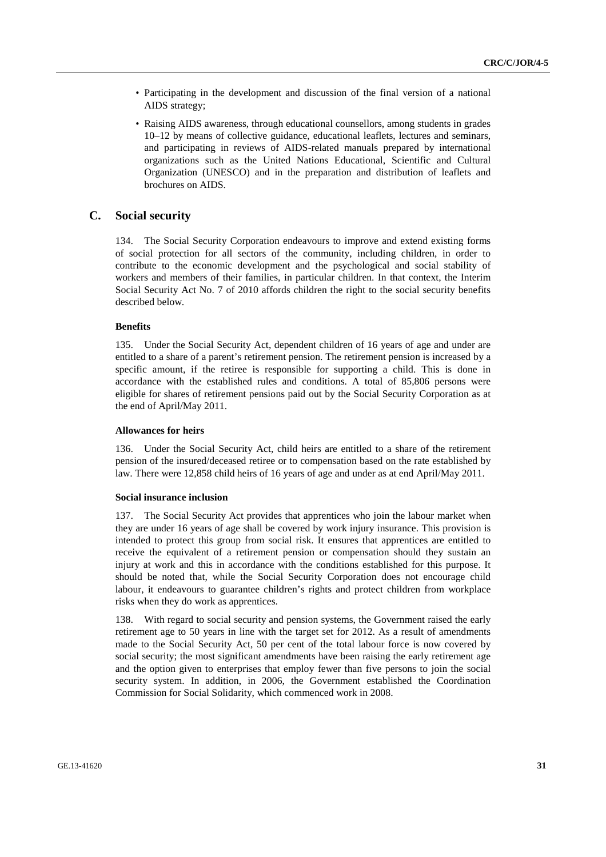- Participating in the development and discussion of the final version of a national AIDS strategy;
- Raising AIDS awareness, through educational counsellors, among students in grades 10–12 by means of collective guidance, educational leaflets, lectures and seminars, and participating in reviews of AIDS-related manuals prepared by international organizations such as the United Nations Educational, Scientific and Cultural Organization (UNESCO) and in the preparation and distribution of leaflets and brochures on AIDS.

### **C. Social security**

134. The Social Security Corporation endeavours to improve and extend existing forms of social protection for all sectors of the community, including children, in order to contribute to the economic development and the psychological and social stability of workers and members of their families, in particular children. In that context, the Interim Social Security Act No. 7 of 2010 affords children the right to the social security benefits described below.

#### **Benefits**

135. Under the Social Security Act, dependent children of 16 years of age and under are entitled to a share of a parent's retirement pension. The retirement pension is increased by a specific amount, if the retiree is responsible for supporting a child. This is done in accordance with the established rules and conditions. A total of 85,806 persons were eligible for shares of retirement pensions paid out by the Social Security Corporation as at the end of April/May 2011.

#### **Allowances for heirs**

136. Under the Social Security Act, child heirs are entitled to a share of the retirement pension of the insured/deceased retiree or to compensation based on the rate established by law. There were 12,858 child heirs of 16 years of age and under as at end April/May 2011.

#### **Social insurance inclusion**

137. The Social Security Act provides that apprentices who join the labour market when they are under 16 years of age shall be covered by work injury insurance. This provision is intended to protect this group from social risk. It ensures that apprentices are entitled to receive the equivalent of a retirement pension or compensation should they sustain an injury at work and this in accordance with the conditions established for this purpose. It should be noted that, while the Social Security Corporation does not encourage child labour, it endeavours to guarantee children's rights and protect children from workplace risks when they do work as apprentices.

138. With regard to social security and pension systems, the Government raised the early retirement age to 50 years in line with the target set for 2012. As a result of amendments made to the Social Security Act, 50 per cent of the total labour force is now covered by social security; the most significant amendments have been raising the early retirement age and the option given to enterprises that employ fewer than five persons to join the social security system. In addition, in 2006, the Government established the Coordination Commission for Social Solidarity, which commenced work in 2008.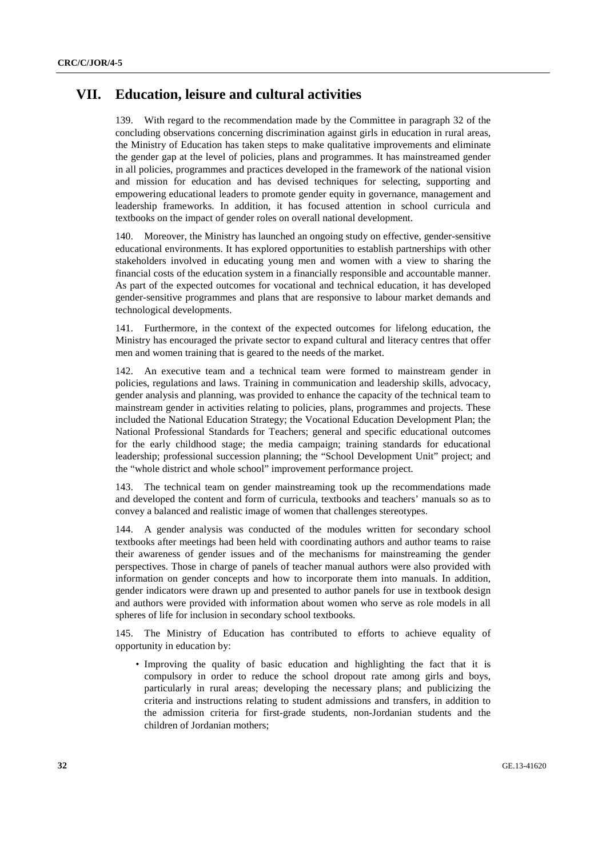## **VII. Education, leisure and cultural activities**

139. With regard to the recommendation made by the Committee in paragraph 32 of the concluding observations concerning discrimination against girls in education in rural areas, the Ministry of Education has taken steps to make qualitative improvements and eliminate the gender gap at the level of policies, plans and programmes. It has mainstreamed gender in all policies, programmes and practices developed in the framework of the national vision and mission for education and has devised techniques for selecting, supporting and empowering educational leaders to promote gender equity in governance, management and leadership frameworks. In addition, it has focused attention in school curricula and textbooks on the impact of gender roles on overall national development.

140. Moreover, the Ministry has launched an ongoing study on effective, gender-sensitive educational environments. It has explored opportunities to establish partnerships with other stakeholders involved in educating young men and women with a view to sharing the financial costs of the education system in a financially responsible and accountable manner. As part of the expected outcomes for vocational and technical education, it has developed gender-sensitive programmes and plans that are responsive to labour market demands and technological developments.

141. Furthermore, in the context of the expected outcomes for lifelong education, the Ministry has encouraged the private sector to expand cultural and literacy centres that offer men and women training that is geared to the needs of the market.

142. An executive team and a technical team were formed to mainstream gender in policies, regulations and laws. Training in communication and leadership skills, advocacy, gender analysis and planning, was provided to enhance the capacity of the technical team to mainstream gender in activities relating to policies, plans, programmes and projects. These included the National Education Strategy; the Vocational Education Development Plan; the National Professional Standards for Teachers; general and specific educational outcomes for the early childhood stage; the media campaign; training standards for educational leadership; professional succession planning; the "School Development Unit" project; and the "whole district and whole school" improvement performance project.

143. The technical team on gender mainstreaming took up the recommendations made and developed the content and form of curricula, textbooks and teachers' manuals so as to convey a balanced and realistic image of women that challenges stereotypes.

144. A gender analysis was conducted of the modules written for secondary school textbooks after meetings had been held with coordinating authors and author teams to raise their awareness of gender issues and of the mechanisms for mainstreaming the gender perspectives. Those in charge of panels of teacher manual authors were also provided with information on gender concepts and how to incorporate them into manuals. In addition, gender indicators were drawn up and presented to author panels for use in textbook design and authors were provided with information about women who serve as role models in all spheres of life for inclusion in secondary school textbooks.

145. The Ministry of Education has contributed to efforts to achieve equality of opportunity in education by:

• Improving the quality of basic education and highlighting the fact that it is compulsory in order to reduce the school dropout rate among girls and boys, particularly in rural areas; developing the necessary plans; and publicizing the criteria and instructions relating to student admissions and transfers, in addition to the admission criteria for first-grade students, non-Jordanian students and the children of Jordanian mothers;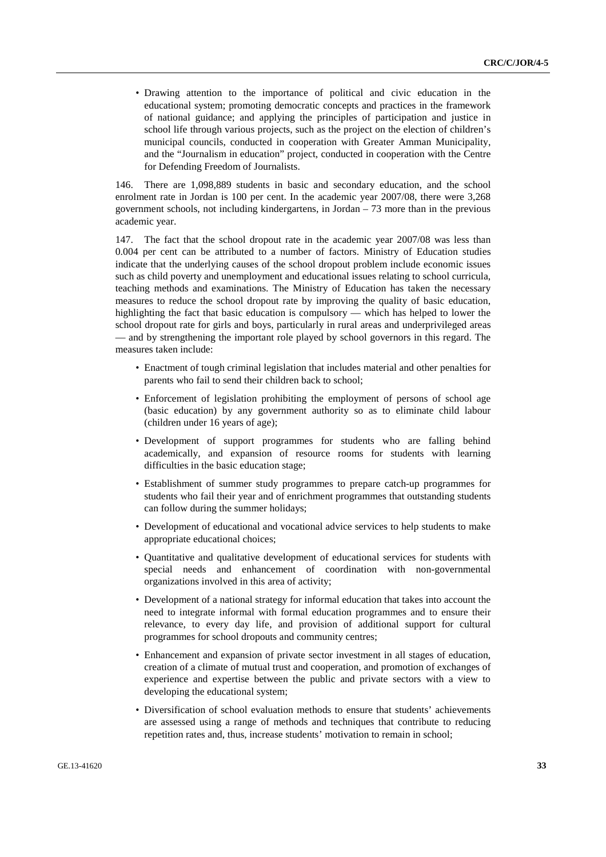• Drawing attention to the importance of political and civic education in the educational system; promoting democratic concepts and practices in the framework of national guidance; and applying the principles of participation and justice in school life through various projects, such as the project on the election of children's municipal councils, conducted in cooperation with Greater Amman Municipality, and the "Journalism in education" project, conducted in cooperation with the Centre for Defending Freedom of Journalists.

146. There are 1,098,889 students in basic and secondary education, and the school enrolment rate in Jordan is 100 per cent. In the academic year 2007/08, there were 3,268 government schools, not including kindergartens, in Jordan  $-73$  more than in the previous academic year.

147. The fact that the school dropout rate in the academic year 2007/08 was less than 0.004 per cent can be attributed to a number of factors. Ministry of Education studies indicate that the underlying causes of the school dropout problem include economic issues such as child poverty and unemployment and educational issues relating to school curricula, teaching methods and examinations. The Ministry of Education has taken the necessary measures to reduce the school dropout rate by improving the quality of basic education, highlighting the fact that basic education is compulsory — which has helped to lower the school dropout rate for girls and boys, particularly in rural areas and underprivileged areas — and by strengthening the important role played by school governors in this regard. The measures taken include:

- Enactment of tough criminal legislation that includes material and other penalties for parents who fail to send their children back to school;
- Enforcement of legislation prohibiting the employment of persons of school age (basic education) by any government authority so as to eliminate child labour (children under 16 years of age);
- Development of support programmes for students who are falling behind academically, and expansion of resource rooms for students with learning difficulties in the basic education stage;
- Establishment of summer study programmes to prepare catch-up programmes for students who fail their year and of enrichment programmes that outstanding students can follow during the summer holidays;
- Development of educational and vocational advice services to help students to make appropriate educational choices;
- Quantitative and qualitative development of educational services for students with special needs and enhancement of coordination with non-governmental organizations involved in this area of activity;
- Development of a national strategy for informal education that takes into account the need to integrate informal with formal education programmes and to ensure their relevance, to every day life, and provision of additional support for cultural programmes for school dropouts and community centres;
- Enhancement and expansion of private sector investment in all stages of education, creation of a climate of mutual trust and cooperation, and promotion of exchanges of experience and expertise between the public and private sectors with a view to developing the educational system;
- Diversification of school evaluation methods to ensure that students' achievements are assessed using a range of methods and techniques that contribute to reducing repetition rates and, thus, increase students' motivation to remain in school;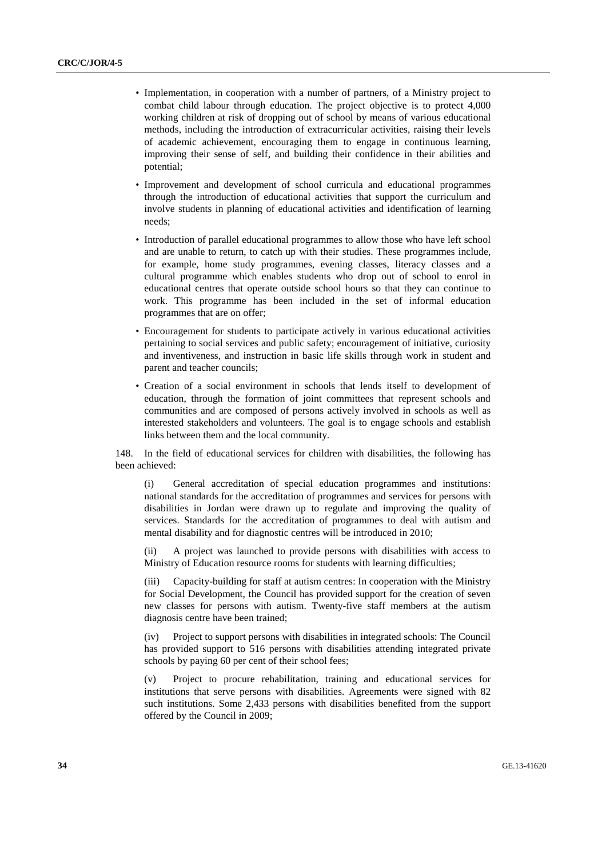- Implementation, in cooperation with a number of partners, of a Ministry project to combat child labour through education. The project objective is to protect 4,000 working children at risk of dropping out of school by means of various educational methods, including the introduction of extracurricular activities, raising their levels of academic achievement, encouraging them to engage in continuous learning, improving their sense of self, and building their confidence in their abilities and potential;
- Improvement and development of school curricula and educational programmes through the introduction of educational activities that support the curriculum and involve students in planning of educational activities and identification of learning needs;
- Introduction of parallel educational programmes to allow those who have left school and are unable to return, to catch up with their studies. These programmes include, for example, home study programmes, evening classes, literacy classes and a cultural programme which enables students who drop out of school to enrol in educational centres that operate outside school hours so that they can continue to work. This programme has been included in the set of informal education programmes that are on offer;
- Encouragement for students to participate actively in various educational activities pertaining to social services and public safety; encouragement of initiative, curiosity and inventiveness, and instruction in basic life skills through work in student and parent and teacher councils;
- Creation of a social environment in schools that lends itself to development of education, through the formation of joint committees that represent schools and communities and are composed of persons actively involved in schools as well as interested stakeholders and volunteers. The goal is to engage schools and establish links between them and the local community.

148. In the field of educational services for children with disabilities, the following has been achieved:

(i) General accreditation of special education programmes and institutions: national standards for the accreditation of programmes and services for persons with disabilities in Jordan were drawn up to regulate and improving the quality of services. Standards for the accreditation of programmes to deal with autism and mental disability and for diagnostic centres will be introduced in 2010;

(ii) A project was launched to provide persons with disabilities with access to Ministry of Education resource rooms for students with learning difficulties;

(iii) Capacity-building for staff at autism centres: In cooperation with the Ministry for Social Development, the Council has provided support for the creation of seven new classes for persons with autism. Twenty-five staff members at the autism diagnosis centre have been trained;

(iv) Project to support persons with disabilities in integrated schools: The Council has provided support to 516 persons with disabilities attending integrated private schools by paying 60 per cent of their school fees;

(v) Project to procure rehabilitation, training and educational services for institutions that serve persons with disabilities. Agreements were signed with 82 such institutions. Some 2,433 persons with disabilities benefited from the support offered by the Council in 2009;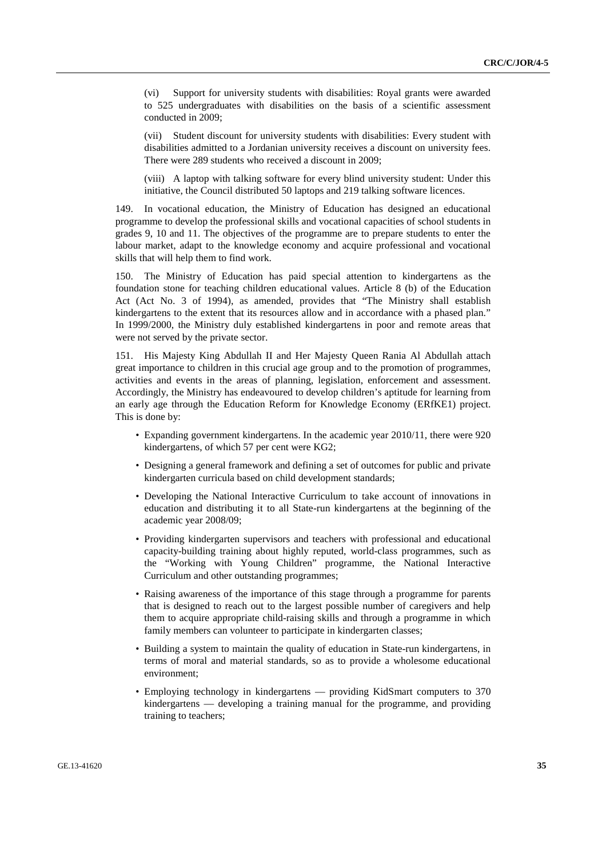(vi) Support for university students with disabilities: Royal grants were awarded to 525 undergraduates with disabilities on the basis of a scientific assessment conducted in 2009;

(vii) Student discount for university students with disabilities: Every student with disabilities admitted to a Jordanian university receives a discount on university fees. There were 289 students who received a discount in 2009;

(viii) A laptop with talking software for every blind university student: Under this initiative, the Council distributed 50 laptops and 219 talking software licences.

149. In vocational education, the Ministry of Education has designed an educational programme to develop the professional skills and vocational capacities of school students in grades 9, 10 and 11. The objectives of the programme are to prepare students to enter the labour market, adapt to the knowledge economy and acquire professional and vocational skills that will help them to find work.

150. The Ministry of Education has paid special attention to kindergartens as the foundation stone for teaching children educational values. Article 8 (b) of the Education Act (Act No. 3 of 1994), as amended, provides that "The Ministry shall establish kindergartens to the extent that its resources allow and in accordance with a phased plan." In 1999/2000, the Ministry duly established kindergartens in poor and remote areas that were not served by the private sector.

151. His Majesty King Abdullah II and Her Majesty Queen Rania Al Abdullah attach great importance to children in this crucial age group and to the promotion of programmes, activities and events in the areas of planning, legislation, enforcement and assessment. Accordingly, the Ministry has endeavoured to develop children's aptitude for learning from an early age through the Education Reform for Knowledge Economy (ERfKE1) project. This is done by:

- Expanding government kindergartens. In the academic year 2010/11, there were 920 kindergartens, of which 57 per cent were KG2;
- Designing a general framework and defining a set of outcomes for public and private kindergarten curricula based on child development standards;
- Developing the National Interactive Curriculum to take account of innovations in education and distributing it to all State-run kindergartens at the beginning of the academic year 2008/09;
- Providing kindergarten supervisors and teachers with professional and educational capacity-building training about highly reputed, world-class programmes, such as the "Working with Young Children" programme, the National Interactive Curriculum and other outstanding programmes;
- Raising awareness of the importance of this stage through a programme for parents that is designed to reach out to the largest possible number of caregivers and help them to acquire appropriate child-raising skills and through a programme in which family members can volunteer to participate in kindergarten classes;
- Building a system to maintain the quality of education in State-run kindergartens, in terms of moral and material standards, so as to provide a wholesome educational environment;
- Employing technology in kindergartens providing KidSmart computers to 370 kindergartens — developing a training manual for the programme, and providing training to teachers;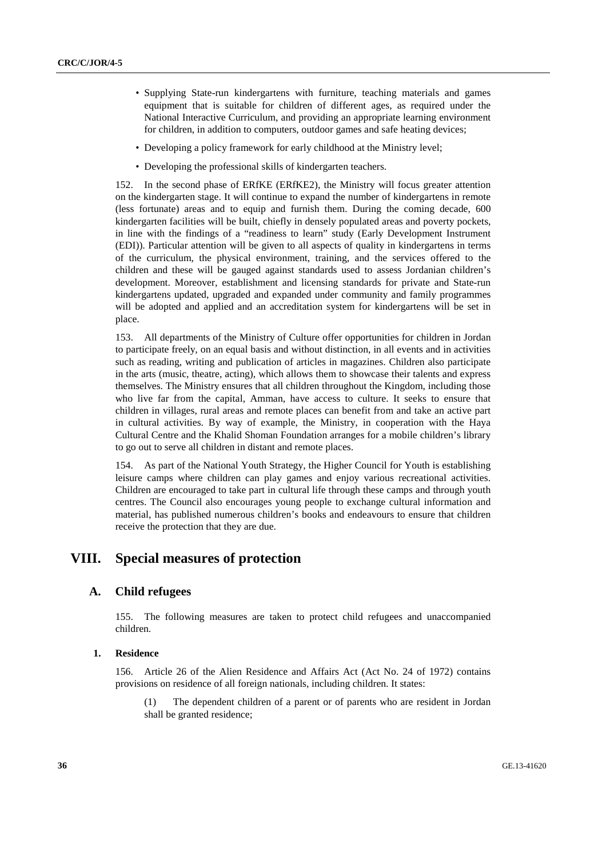- Supplying State-run kindergartens with furniture, teaching materials and games equipment that is suitable for children of different ages, as required under the National Interactive Curriculum, and providing an appropriate learning environment for children, in addition to computers, outdoor games and safe heating devices;
- Developing a policy framework for early childhood at the Ministry level;
- Developing the professional skills of kindergarten teachers.

152. In the second phase of ERfKE (ERfKE2), the Ministry will focus greater attention on the kindergarten stage. It will continue to expand the number of kindergartens in remote (less fortunate) areas and to equip and furnish them. During the coming decade, 600 kindergarten facilities will be built, chiefly in densely populated areas and poverty pockets, in line with the findings of a "readiness to learn" study (Early Development Instrument (EDI)). Particular attention will be given to all aspects of quality in kindergartens in terms of the curriculum, the physical environment, training, and the services offered to the children and these will be gauged against standards used to assess Jordanian children's development. Moreover, establishment and licensing standards for private and State-run kindergartens updated, upgraded and expanded under community and family programmes will be adopted and applied and an accreditation system for kindergartens will be set in place.

153. All departments of the Ministry of Culture offer opportunities for children in Jordan to participate freely, on an equal basis and without distinction, in all events and in activities such as reading, writing and publication of articles in magazines. Children also participate in the arts (music, theatre, acting), which allows them to showcase their talents and express themselves. The Ministry ensures that all children throughout the Kingdom, including those who live far from the capital, Amman, have access to culture. It seeks to ensure that children in villages, rural areas and remote places can benefit from and take an active part in cultural activities. By way of example, the Ministry, in cooperation with the Haya Cultural Centre and the Khalid Shoman Foundation arranges for a mobile children's library to go out to serve all children in distant and remote places.

154. As part of the National Youth Strategy, the Higher Council for Youth is establishing leisure camps where children can play games and enjoy various recreational activities. Children are encouraged to take part in cultural life through these camps and through youth centres. The Council also encourages young people to exchange cultural information and material, has published numerous children's books and endeavours to ensure that children receive the protection that they are due.

## **VIII. Special measures of protection**

### **A. Child refugees**

155. The following measures are taken to protect child refugees and unaccompanied children.

### **1. Residence**

156. Article 26 of the Alien Residence and Affairs Act (Act No. 24 of 1972) contains provisions on residence of all foreign nationals, including children. It states:

(1) The dependent children of a parent or of parents who are resident in Jordan shall be granted residence;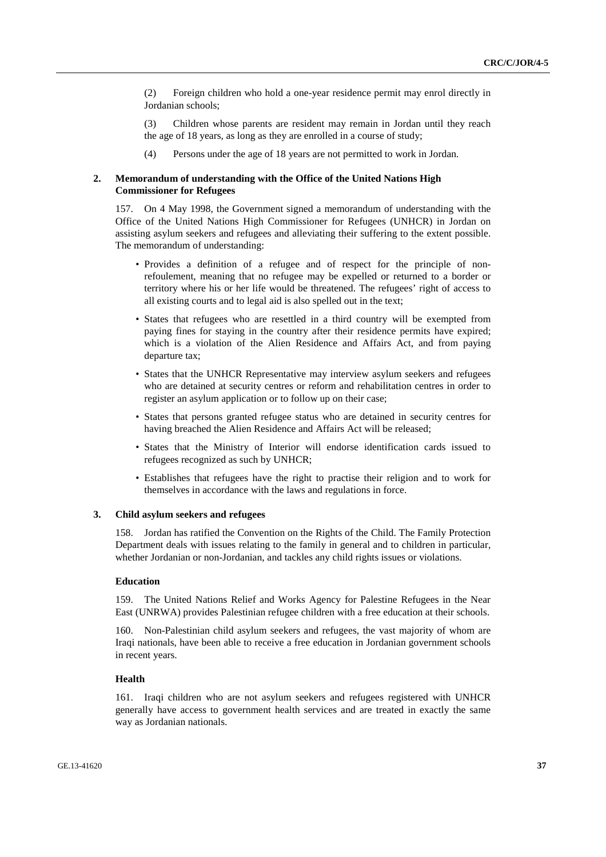(2) Foreign children who hold a one-year residence permit may enrol directly in Jordanian schools;

(3) Children whose parents are resident may remain in Jordan until they reach the age of 18 years, as long as they are enrolled in a course of study;

(4) Persons under the age of 18 years are not permitted to work in Jordan.

#### **2. Memorandum of understanding with the Office of the United Nations High Commissioner for Refugees**

157. On 4 May 1998, the Government signed a memorandum of understanding with the Office of the United Nations High Commissioner for Refugees (UNHCR) in Jordan on assisting asylum seekers and refugees and alleviating their suffering to the extent possible. The memorandum of understanding:

- Provides a definition of a refugee and of respect for the principle of nonrefoulement, meaning that no refugee may be expelled or returned to a border or territory where his or her life would be threatened. The refugees' right of access to all existing courts and to legal aid is also spelled out in the text;
- States that refugees who are resettled in a third country will be exempted from paying fines for staying in the country after their residence permits have expired; which is a violation of the Alien Residence and Affairs Act, and from paying departure tax;
- States that the UNHCR Representative may interview asylum seekers and refugees who are detained at security centres or reform and rehabilitation centres in order to register an asylum application or to follow up on their case;
- States that persons granted refugee status who are detained in security centres for having breached the Alien Residence and Affairs Act will be released;
- States that the Ministry of Interior will endorse identification cards issued to refugees recognized as such by UNHCR;
- Establishes that refugees have the right to practise their religion and to work for themselves in accordance with the laws and regulations in force.

#### **3. Child asylum seekers and refugees**

158. Jordan has ratified the Convention on the Rights of the Child. The Family Protection Department deals with issues relating to the family in general and to children in particular, whether Jordanian or non-Jordanian, and tackles any child rights issues or violations.

#### **Education**

159. The United Nations Relief and Works Agency for Palestine Refugees in the Near East (UNRWA) provides Palestinian refugee children with a free education at their schools.

160. Non-Palestinian child asylum seekers and refugees, the vast majority of whom are Iraqi nationals, have been able to receive a free education in Jordanian government schools in recent years.

#### **Health**

161. Iraqi children who are not asylum seekers and refugees registered with UNHCR generally have access to government health services and are treated in exactly the same way as Jordanian nationals.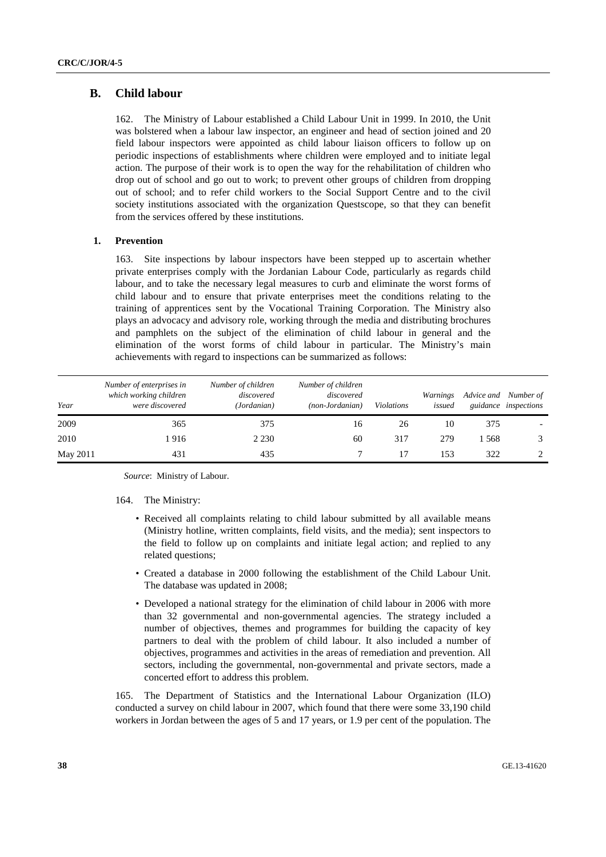## **B. Child labour**

162. The Ministry of Labour established a Child Labour Unit in 1999. In 2010, the Unit was bolstered when a labour law inspector, an engineer and head of section joined and 20 field labour inspectors were appointed as child labour liaison officers to follow up on periodic inspections of establishments where children were employed and to initiate legal action. The purpose of their work is to open the way for the rehabilitation of children who drop out of school and go out to work; to prevent other groups of children from dropping out of school; and to refer child workers to the Social Support Centre and to the civil society institutions associated with the organization Questscope, so that they can benefit from the services offered by these institutions.

### **1. Prevention**

163. Site inspections by labour inspectors have been stepped up to ascertain whether private enterprises comply with the Jordanian Labour Code, particularly as regards child labour, and to take the necessary legal measures to curb and eliminate the worst forms of child labour and to ensure that private enterprises meet the conditions relating to the training of apprentices sent by the Vocational Training Corporation. The Ministry also plays an advocacy and advisory role, working through the media and distributing brochures and pamphlets on the subject of the elimination of child labour in general and the elimination of the worst forms of child labour in particular. The Ministry's main achievements with regard to inspections can be summarized as follows:

| Year     | Number of enterprises in<br>which working children<br>were discovered | Number of children<br>discovered<br>(Jordanian) | Number of children<br>discovered<br>(non-Jordanian) | <b>Violations</b> | Warnings<br>issued | Advice and | Number of<br>guidance inspections |
|----------|-----------------------------------------------------------------------|-------------------------------------------------|-----------------------------------------------------|-------------------|--------------------|------------|-----------------------------------|
| 2009     | 365                                                                   | 375                                             | 16                                                  | 26                | 10                 | 375        |                                   |
| 2010     | 1 916                                                                 | 2 2 3 0                                         | 60                                                  | 317               | 279                | -568       |                                   |
| May 2011 | 431                                                                   | 435                                             |                                                     |                   | 153                | 322        |                                   |

*Source*: Ministry of Labour.

#### 164. The Ministry:

- Received all complaints relating to child labour submitted by all available means (Ministry hotline, written complaints, field visits, and the media); sent inspectors to the field to follow up on complaints and initiate legal action; and replied to any related questions;
- Created a database in 2000 following the establishment of the Child Labour Unit. The database was updated in 2008;
- Developed a national strategy for the elimination of child labour in 2006 with more than 32 governmental and non-governmental agencies. The strategy included a number of objectives, themes and programmes for building the capacity of key partners to deal with the problem of child labour. It also included a number of objectives, programmes and activities in the areas of remediation and prevention. All sectors, including the governmental, non-governmental and private sectors, made a concerted effort to address this problem.

165. The Department of Statistics and the International Labour Organization (ILO) conducted a survey on child labour in 2007, which found that there were some 33,190 child workers in Jordan between the ages of 5 and 17 years, or 1.9 per cent of the population. The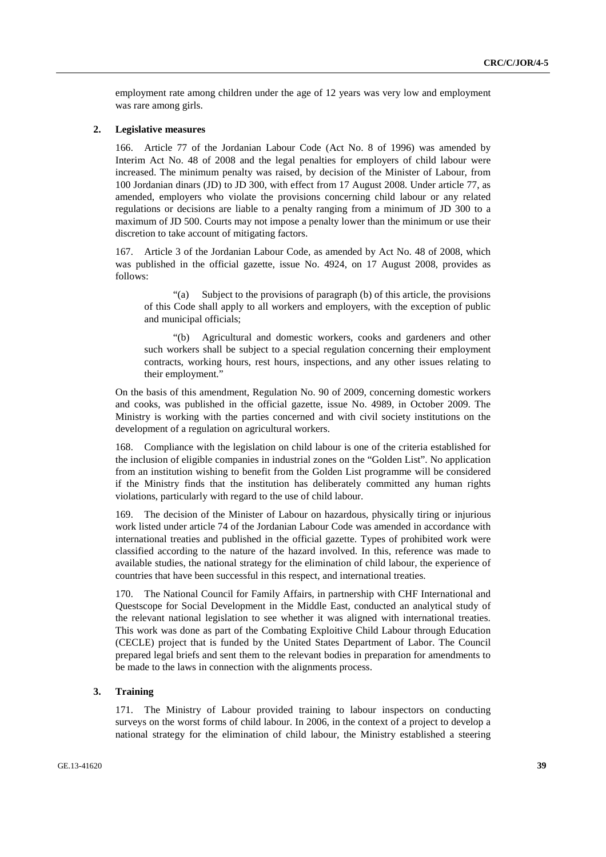employment rate among children under the age of 12 years was very low and employment was rare among girls.

#### **2. Legislative measures**

Article 77 of the Jordanian Labour Code (Act No. 8 of 1996) was amended by Interim Act No. 48 of 2008 and the legal penalties for employers of child labour were increased. The minimum penalty was raised, by decision of the Minister of Labour, from 100 Jordanian dinars (JD) to JD 300, with effect from 17 August 2008. Under article 77, as amended, employers who violate the provisions concerning child labour or any related regulations or decisions are liable to a penalty ranging from a minimum of JD 300 to a maximum of JD 500. Courts may not impose a penalty lower than the minimum or use their discretion to take account of mitigating factors.

167. Article 3 of the Jordanian Labour Code, as amended by Act No. 48 of 2008, which was published in the official gazette, issue No. 4924, on 17 August 2008, provides as follows:

 "(a) Subject to the provisions of paragraph (b) of this article, the provisions of this Code shall apply to all workers and employers, with the exception of public and municipal officials;

 "(b) Agricultural and domestic workers, cooks and gardeners and other such workers shall be subject to a special regulation concerning their employment contracts, working hours, rest hours, inspections, and any other issues relating to their employment."

On the basis of this amendment, Regulation No. 90 of 2009, concerning domestic workers and cooks, was published in the official gazette, issue No. 4989, in October 2009. The Ministry is working with the parties concerned and with civil society institutions on the development of a regulation on agricultural workers.

168. Compliance with the legislation on child labour is one of the criteria established for the inclusion of eligible companies in industrial zones on the "Golden List". No application from an institution wishing to benefit from the Golden List programme will be considered if the Ministry finds that the institution has deliberately committed any human rights violations, particularly with regard to the use of child labour.

The decision of the Minister of Labour on hazardous, physically tiring or injurious work listed under article 74 of the Jordanian Labour Code was amended in accordance with international treaties and published in the official gazette. Types of prohibited work were classified according to the nature of the hazard involved. In this, reference was made to available studies, the national strategy for the elimination of child labour, the experience of countries that have been successful in this respect, and international treaties.

170. The National Council for Family Affairs, in partnership with CHF International and Questscope for Social Development in the Middle East, conducted an analytical study of the relevant national legislation to see whether it was aligned with international treaties. This work was done as part of the Combating Exploitive Child Labour through Education (CECLE) project that is funded by the United States Department of Labor. The Council prepared legal briefs and sent them to the relevant bodies in preparation for amendments to be made to the laws in connection with the alignments process.

#### **3. Training**

171. The Ministry of Labour provided training to labour inspectors on conducting surveys on the worst forms of child labour. In 2006, in the context of a project to develop a national strategy for the elimination of child labour, the Ministry established a steering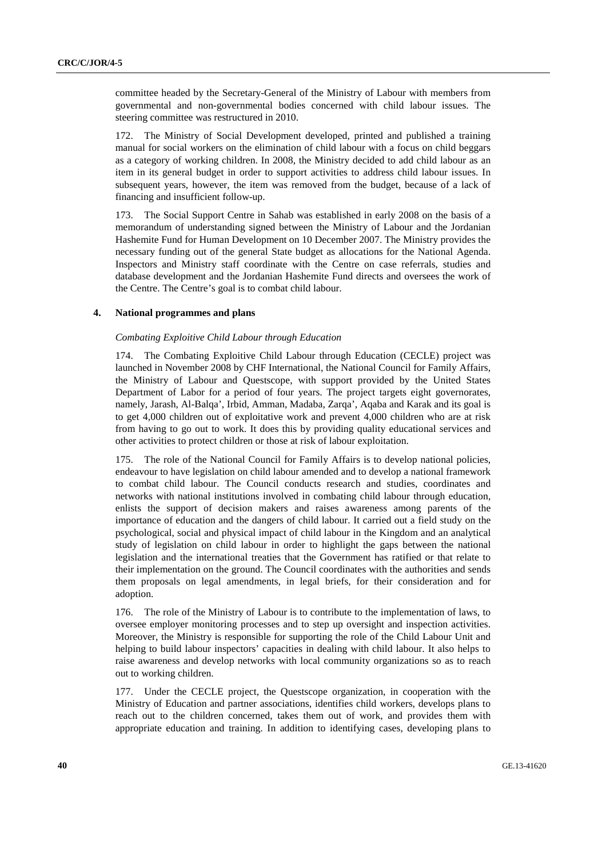committee headed by the Secretary-General of the Ministry of Labour with members from governmental and non-governmental bodies concerned with child labour issues. The steering committee was restructured in 2010.

172. The Ministry of Social Development developed, printed and published a training manual for social workers on the elimination of child labour with a focus on child beggars as a category of working children. In 2008, the Ministry decided to add child labour as an item in its general budget in order to support activities to address child labour issues. In subsequent years, however, the item was removed from the budget, because of a lack of financing and insufficient follow-up.

173. The Social Support Centre in Sahab was established in early 2008 on the basis of a memorandum of understanding signed between the Ministry of Labour and the Jordanian Hashemite Fund for Human Development on 10 December 2007. The Ministry provides the necessary funding out of the general State budget as allocations for the National Agenda. Inspectors and Ministry staff coordinate with the Centre on case referrals, studies and database development and the Jordanian Hashemite Fund directs and oversees the work of the Centre. The Centre's goal is to combat child labour.

#### **4. National programmes and plans**

#### *Combating Exploitive Child Labour through Education*

174. The Combating Exploitive Child Labour through Education (CECLE) project was launched in November 2008 by CHF International, the National Council for Family Affairs, the Ministry of Labour and Questscope, with support provided by the United States Department of Labor for a period of four years. The project targets eight governorates, namely, Jarash, Al-Balqa', Irbid, Amman, Madaba, Zarqa', Aqaba and Karak and its goal is to get 4,000 children out of exploitative work and prevent 4,000 children who are at risk from having to go out to work. It does this by providing quality educational services and other activities to protect children or those at risk of labour exploitation.

175. The role of the National Council for Family Affairs is to develop national policies, endeavour to have legislation on child labour amended and to develop a national framework to combat child labour. The Council conducts research and studies, coordinates and networks with national institutions involved in combating child labour through education, enlists the support of decision makers and raises awareness among parents of the importance of education and the dangers of child labour. It carried out a field study on the psychological, social and physical impact of child labour in the Kingdom and an analytical study of legislation on child labour in order to highlight the gaps between the national legislation and the international treaties that the Government has ratified or that relate to their implementation on the ground. The Council coordinates with the authorities and sends them proposals on legal amendments, in legal briefs, for their consideration and for adoption.

176. The role of the Ministry of Labour is to contribute to the implementation of laws, to oversee employer monitoring processes and to step up oversight and inspection activities. Moreover, the Ministry is responsible for supporting the role of the Child Labour Unit and helping to build labour inspectors' capacities in dealing with child labour. It also helps to raise awareness and develop networks with local community organizations so as to reach out to working children.

177. Under the CECLE project, the Questscope organization, in cooperation with the Ministry of Education and partner associations, identifies child workers, develops plans to reach out to the children concerned, takes them out of work, and provides them with appropriate education and training. In addition to identifying cases, developing plans to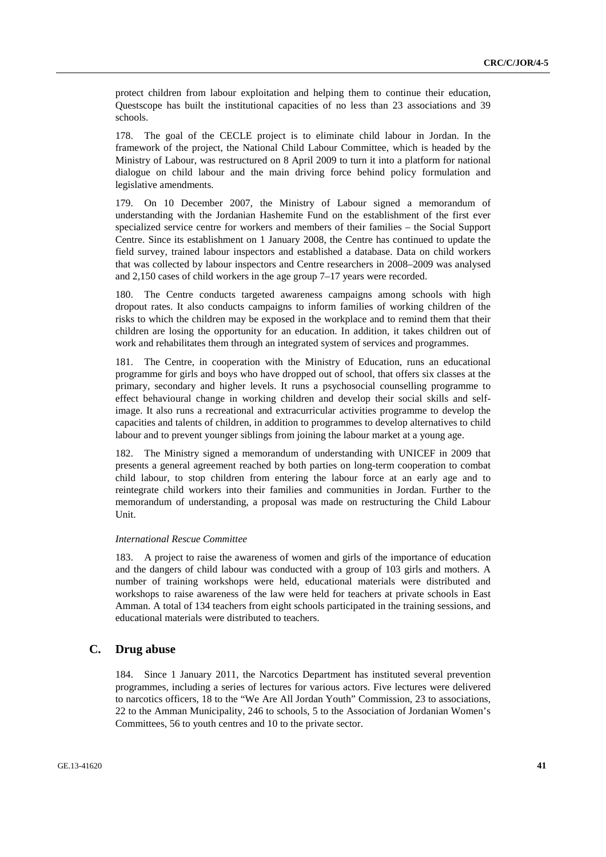protect children from labour exploitation and helping them to continue their education, Questscope has built the institutional capacities of no less than 23 associations and 39 schools.

178. The goal of the CECLE project is to eliminate child labour in Jordan. In the framework of the project, the National Child Labour Committee, which is headed by the Ministry of Labour, was restructured on 8 April 2009 to turn it into a platform for national dialogue on child labour and the main driving force behind policy formulation and legislative amendments.

179. On 10 December 2007, the Ministry of Labour signed a memorandum of understanding with the Jordanian Hashemite Fund on the establishment of the first ever specialized service centre for workers and members of their families – the Social Support Centre. Since its establishment on 1 January 2008, the Centre has continued to update the field survey, trained labour inspectors and established a database. Data on child workers that was collected by labour inspectors and Centre researchers in 2008–2009 was analysed and 2,150 cases of child workers in the age group 7–17 years were recorded.

180. The Centre conducts targeted awareness campaigns among schools with high dropout rates. It also conducts campaigns to inform families of working children of the risks to which the children may be exposed in the workplace and to remind them that their children are losing the opportunity for an education. In addition, it takes children out of work and rehabilitates them through an integrated system of services and programmes.

181. The Centre, in cooperation with the Ministry of Education, runs an educational programme for girls and boys who have dropped out of school, that offers six classes at the primary, secondary and higher levels. It runs a psychosocial counselling programme to effect behavioural change in working children and develop their social skills and selfimage. It also runs a recreational and extracurricular activities programme to develop the capacities and talents of children, in addition to programmes to develop alternatives to child labour and to prevent younger siblings from joining the labour market at a young age.

182. The Ministry signed a memorandum of understanding with UNICEF in 2009 that presents a general agreement reached by both parties on long-term cooperation to combat child labour, to stop children from entering the labour force at an early age and to reintegrate child workers into their families and communities in Jordan. Further to the memorandum of understanding, a proposal was made on restructuring the Child Labour Unit.

#### *International Rescue Committee*

183. A project to raise the awareness of women and girls of the importance of education and the dangers of child labour was conducted with a group of 103 girls and mothers. A number of training workshops were held, educational materials were distributed and workshops to raise awareness of the law were held for teachers at private schools in East Amman. A total of 134 teachers from eight schools participated in the training sessions, and educational materials were distributed to teachers.

#### **C. Drug abuse**

184. Since 1 January 2011, the Narcotics Department has instituted several prevention programmes, including a series of lectures for various actors. Five lectures were delivered to narcotics officers, 18 to the "We Are All Jordan Youth" Commission, 23 to associations, 22 to the Amman Municipality, 246 to schools, 5 to the Association of Jordanian Women's Committees, 56 to youth centres and 10 to the private sector.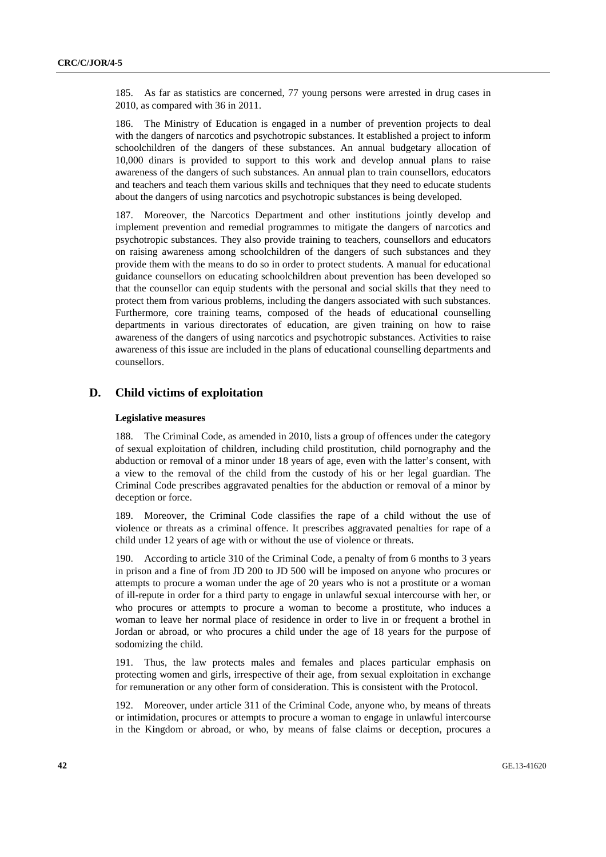185. As far as statistics are concerned, 77 young persons were arrested in drug cases in 2010, as compared with 36 in 2011.

186. The Ministry of Education is engaged in a number of prevention projects to deal with the dangers of narcotics and psychotropic substances. It established a project to inform schoolchildren of the dangers of these substances. An annual budgetary allocation of 10,000 dinars is provided to support to this work and develop annual plans to raise awareness of the dangers of such substances. An annual plan to train counsellors, educators and teachers and teach them various skills and techniques that they need to educate students about the dangers of using narcotics and psychotropic substances is being developed.

187. Moreover, the Narcotics Department and other institutions jointly develop and implement prevention and remedial programmes to mitigate the dangers of narcotics and psychotropic substances. They also provide training to teachers, counsellors and educators on raising awareness among schoolchildren of the dangers of such substances and they provide them with the means to do so in order to protect students. A manual for educational guidance counsellors on educating schoolchildren about prevention has been developed so that the counsellor can equip students with the personal and social skills that they need to protect them from various problems, including the dangers associated with such substances. Furthermore, core training teams, composed of the heads of educational counselling departments in various directorates of education, are given training on how to raise awareness of the dangers of using narcotics and psychotropic substances. Activities to raise awareness of this issue are included in the plans of educational counselling departments and counsellors.

## **D. Child victims of exploitation**

#### **Legislative measures**

188. The Criminal Code, as amended in 2010, lists a group of offences under the category of sexual exploitation of children, including child prostitution, child pornography and the abduction or removal of a minor under 18 years of age, even with the latter's consent, with a view to the removal of the child from the custody of his or her legal guardian. The Criminal Code prescribes aggravated penalties for the abduction or removal of a minor by deception or force.

189. Moreover, the Criminal Code classifies the rape of a child without the use of violence or threats as a criminal offence. It prescribes aggravated penalties for rape of a child under 12 years of age with or without the use of violence or threats.

190. According to article 310 of the Criminal Code, a penalty of from 6 months to 3 years in prison and a fine of from JD 200 to JD 500 will be imposed on anyone who procures or attempts to procure a woman under the age of 20 years who is not a prostitute or a woman of ill-repute in order for a third party to engage in unlawful sexual intercourse with her, or who procures or attempts to procure a woman to become a prostitute, who induces a woman to leave her normal place of residence in order to live in or frequent a brothel in Jordan or abroad, or who procures a child under the age of 18 years for the purpose of sodomizing the child.

191. Thus, the law protects males and females and places particular emphasis on protecting women and girls, irrespective of their age, from sexual exploitation in exchange for remuneration or any other form of consideration. This is consistent with the Protocol.

192. Moreover, under article 311 of the Criminal Code, anyone who, by means of threats or intimidation, procures or attempts to procure a woman to engage in unlawful intercourse in the Kingdom or abroad, or who, by means of false claims or deception, procures a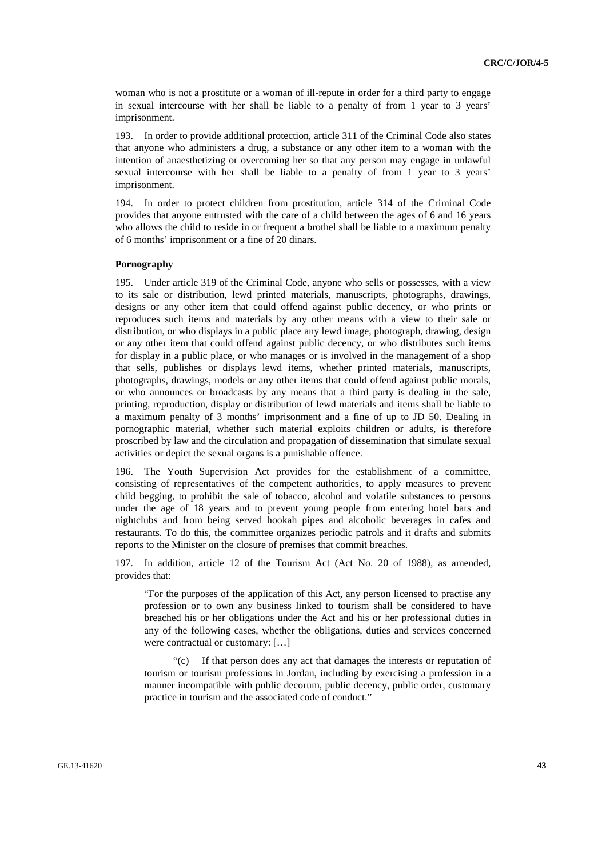woman who is not a prostitute or a woman of ill-repute in order for a third party to engage in sexual intercourse with her shall be liable to a penalty of from 1 year to 3 years' imprisonment.

193. In order to provide additional protection, article 311 of the Criminal Code also states that anyone who administers a drug, a substance or any other item to a woman with the intention of anaesthetizing or overcoming her so that any person may engage in unlawful sexual intercourse with her shall be liable to a penalty of from 1 year to 3 years' imprisonment.

194. In order to protect children from prostitution, article 314 of the Criminal Code provides that anyone entrusted with the care of a child between the ages of 6 and 16 years who allows the child to reside in or frequent a brothel shall be liable to a maximum penalty of 6 months' imprisonment or a fine of 20 dinars.

#### **Pornography**

195. Under article 319 of the Criminal Code, anyone who sells or possesses, with a view to its sale or distribution, lewd printed materials, manuscripts, photographs, drawings, designs or any other item that could offend against public decency, or who prints or reproduces such items and materials by any other means with a view to their sale or distribution, or who displays in a public place any lewd image, photograph, drawing, design or any other item that could offend against public decency, or who distributes such items for display in a public place, or who manages or is involved in the management of a shop that sells, publishes or displays lewd items, whether printed materials, manuscripts, photographs, drawings, models or any other items that could offend against public morals, or who announces or broadcasts by any means that a third party is dealing in the sale, printing, reproduction, display or distribution of lewd materials and items shall be liable to a maximum penalty of 3 months' imprisonment and a fine of up to JD 50. Dealing in pornographic material, whether such material exploits children or adults, is therefore proscribed by law and the circulation and propagation of dissemination that simulate sexual activities or depict the sexual organs is a punishable offence.

196. The Youth Supervision Act provides for the establishment of a committee, consisting of representatives of the competent authorities, to apply measures to prevent child begging, to prohibit the sale of tobacco, alcohol and volatile substances to persons under the age of 18 years and to prevent young people from entering hotel bars and nightclubs and from being served hookah pipes and alcoholic beverages in cafes and restaurants. To do this, the committee organizes periodic patrols and it drafts and submits reports to the Minister on the closure of premises that commit breaches.

197. In addition, article 12 of the Tourism Act (Act No. 20 of 1988), as amended, provides that:

"For the purposes of the application of this Act, any person licensed to practise any profession or to own any business linked to tourism shall be considered to have breached his or her obligations under the Act and his or her professional duties in any of the following cases, whether the obligations, duties and services concerned were contractual or customary: […]

 "(c) If that person does any act that damages the interests or reputation of tourism or tourism professions in Jordan, including by exercising a profession in a manner incompatible with public decorum, public decency, public order, customary practice in tourism and the associated code of conduct."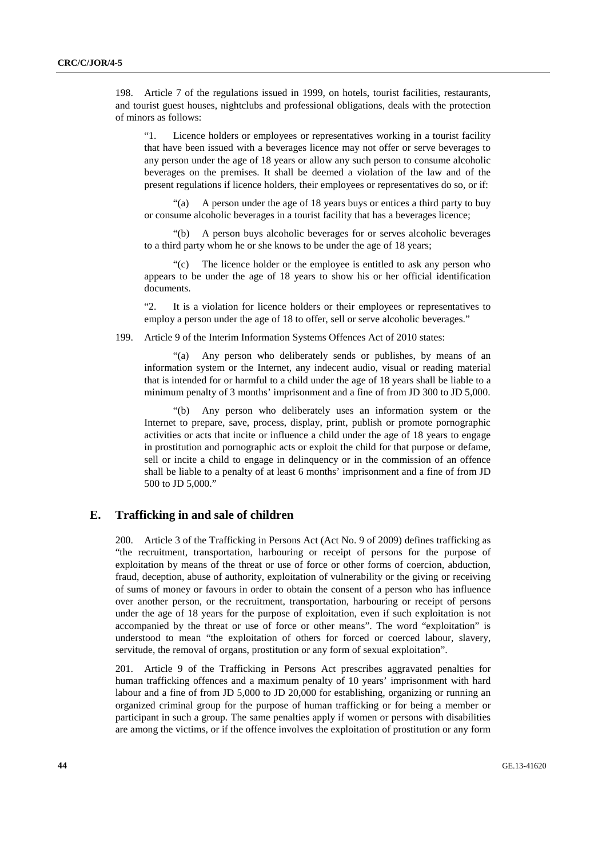198. Article 7 of the regulations issued in 1999, on hotels, tourist facilities, restaurants, and tourist guest houses, nightclubs and professional obligations, deals with the protection of minors as follows:

"1. Licence holders or employees or representatives working in a tourist facility that have been issued with a beverages licence may not offer or serve beverages to any person under the age of 18 years or allow any such person to consume alcoholic beverages on the premises. It shall be deemed a violation of the law and of the present regulations if licence holders, their employees or representatives do so, or if:

A person under the age of 18 years buys or entices a third party to buy or consume alcoholic beverages in a tourist facility that has a beverages licence;

 "(b) A person buys alcoholic beverages for or serves alcoholic beverages to a third party whom he or she knows to be under the age of 18 years;

 "(c) The licence holder or the employee is entitled to ask any person who appears to be under the age of 18 years to show his or her official identification documents.

"2. It is a violation for licence holders or their employees or representatives to employ a person under the age of 18 to offer, sell or serve alcoholic beverages."

199. Article 9 of the Interim Information Systems Offences Act of 2010 states:

 "(a) Any person who deliberately sends or publishes, by means of an information system or the Internet, any indecent audio, visual or reading material that is intended for or harmful to a child under the age of 18 years shall be liable to a minimum penalty of 3 months' imprisonment and a fine of from JD 300 to JD 5,000.

 "(b) Any person who deliberately uses an information system or the Internet to prepare, save, process, display, print, publish or promote pornographic activities or acts that incite or influence a child under the age of 18 years to engage in prostitution and pornographic acts or exploit the child for that purpose or defame, sell or incite a child to engage in delinquency or in the commission of an offence shall be liable to a penalty of at least 6 months' imprisonment and a fine of from JD 500 to JD 5,000."

### **E. Trafficking in and sale of children**

200. Article 3 of the Trafficking in Persons Act (Act No. 9 of 2009) defines trafficking as "the recruitment, transportation, harbouring or receipt of persons for the purpose of exploitation by means of the threat or use of force or other forms of coercion, abduction, fraud, deception, abuse of authority, exploitation of vulnerability or the giving or receiving of sums of money or favours in order to obtain the consent of a person who has influence over another person, or the recruitment, transportation, harbouring or receipt of persons under the age of 18 years for the purpose of exploitation, even if such exploitation is not accompanied by the threat or use of force or other means". The word "exploitation" is understood to mean "the exploitation of others for forced or coerced labour, slavery, servitude, the removal of organs, prostitution or any form of sexual exploitation".

201. Article 9 of the Trafficking in Persons Act prescribes aggravated penalties for human trafficking offences and a maximum penalty of 10 years' imprisonment with hard labour and a fine of from JD 5,000 to JD 20,000 for establishing, organizing or running an organized criminal group for the purpose of human trafficking or for being a member or participant in such a group. The same penalties apply if women or persons with disabilities are among the victims, or if the offence involves the exploitation of prostitution or any form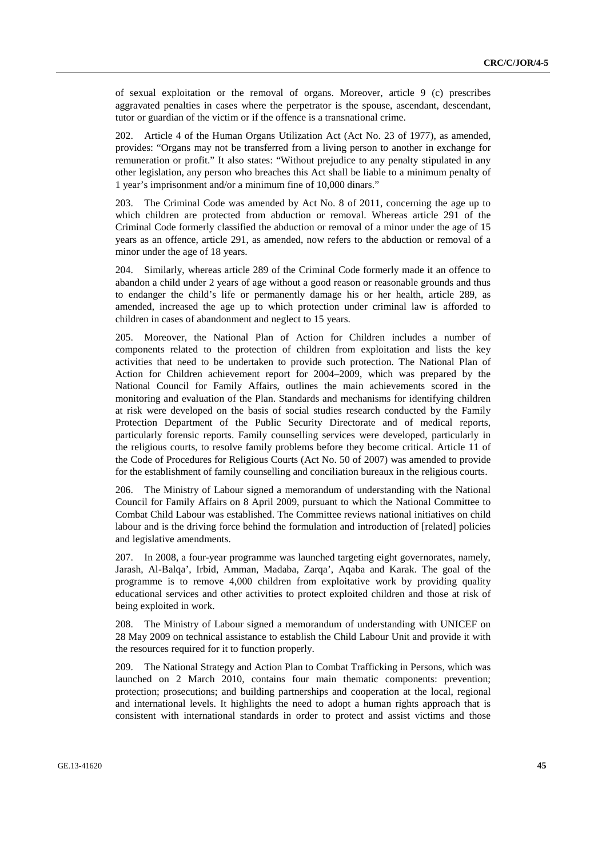of sexual exploitation or the removal of organs. Moreover, article 9 (c) prescribes aggravated penalties in cases where the perpetrator is the spouse, ascendant, descendant, tutor or guardian of the victim or if the offence is a transnational crime.

202. Article 4 of the Human Organs Utilization Act (Act No. 23 of 1977), as amended, provides: "Organs may not be transferred from a living person to another in exchange for remuneration or profit." It also states: "Without prejudice to any penalty stipulated in any other legislation, any person who breaches this Act shall be liable to a minimum penalty of 1 year's imprisonment and/or a minimum fine of 10,000 dinars."

203. The Criminal Code was amended by Act No. 8 of 2011, concerning the age up to which children are protected from abduction or removal. Whereas article 291 of the Criminal Code formerly classified the abduction or removal of a minor under the age of 15 years as an offence, article 291, as amended, now refers to the abduction or removal of a minor under the age of 18 years.

204. Similarly, whereas article 289 of the Criminal Code formerly made it an offence to abandon a child under 2 years of age without a good reason or reasonable grounds and thus to endanger the child's life or permanently damage his or her health, article 289, as amended, increased the age up to which protection under criminal law is afforded to children in cases of abandonment and neglect to 15 years.

205. Moreover, the National Plan of Action for Children includes a number of components related to the protection of children from exploitation and lists the key activities that need to be undertaken to provide such protection. The National Plan of Action for Children achievement report for 2004–2009, which was prepared by the National Council for Family Affairs, outlines the main achievements scored in the monitoring and evaluation of the Plan. Standards and mechanisms for identifying children at risk were developed on the basis of social studies research conducted by the Family Protection Department of the Public Security Directorate and of medical reports, particularly forensic reports. Family counselling services were developed, particularly in the religious courts, to resolve family problems before they become critical. Article 11 of the Code of Procedures for Religious Courts (Act No. 50 of 2007) was amended to provide for the establishment of family counselling and conciliation bureaux in the religious courts.

206. The Ministry of Labour signed a memorandum of understanding with the National Council for Family Affairs on 8 April 2009, pursuant to which the National Committee to Combat Child Labour was established. The Committee reviews national initiatives on child labour and is the driving force behind the formulation and introduction of [related] policies and legislative amendments.

207. In 2008, a four-year programme was launched targeting eight governorates, namely, Jarash, Al-Balqa', Irbid, Amman, Madaba, Zarqa', Aqaba and Karak. The goal of the programme is to remove 4,000 children from exploitative work by providing quality educational services and other activities to protect exploited children and those at risk of being exploited in work.

208. The Ministry of Labour signed a memorandum of understanding with UNICEF on 28 May 2009 on technical assistance to establish the Child Labour Unit and provide it with the resources required for it to function properly.

209. The National Strategy and Action Plan to Combat Trafficking in Persons, which was launched on 2 March 2010, contains four main thematic components: prevention; protection; prosecutions; and building partnerships and cooperation at the local, regional and international levels. It highlights the need to adopt a human rights approach that is consistent with international standards in order to protect and assist victims and those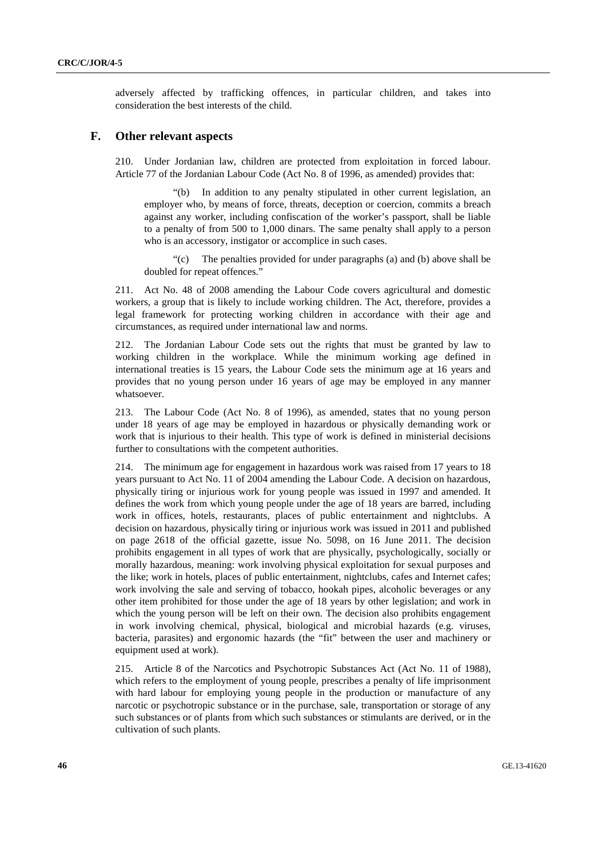adversely affected by trafficking offences, in particular children, and takes into consideration the best interests of the child.

#### **F. Other relevant aspects**

210. Under Jordanian law, children are protected from exploitation in forced labour. Article 77 of the Jordanian Labour Code (Act No. 8 of 1996, as amended) provides that:

 "(b) In addition to any penalty stipulated in other current legislation, an employer who, by means of force, threats, deception or coercion, commits a breach against any worker, including confiscation of the worker's passport, shall be liable to a penalty of from 500 to 1,000 dinars. The same penalty shall apply to a person who is an accessory, instigator or accomplice in such cases.

 "(c) The penalties provided for under paragraphs (a) and (b) above shall be doubled for repeat offences."

211. Act No. 48 of 2008 amending the Labour Code covers agricultural and domestic workers, a group that is likely to include working children. The Act, therefore, provides a legal framework for protecting working children in accordance with their age and circumstances, as required under international law and norms.

212. The Jordanian Labour Code sets out the rights that must be granted by law to working children in the workplace. While the minimum working age defined in international treaties is 15 years, the Labour Code sets the minimum age at 16 years and provides that no young person under 16 years of age may be employed in any manner whatsoever.

213. The Labour Code (Act No. 8 of 1996), as amended, states that no young person under 18 years of age may be employed in hazardous or physically demanding work or work that is injurious to their health. This type of work is defined in ministerial decisions further to consultations with the competent authorities.

214. The minimum age for engagement in hazardous work was raised from 17 years to 18 years pursuant to Act No. 11 of 2004 amending the Labour Code. A decision on hazardous, physically tiring or injurious work for young people was issued in 1997 and amended. It defines the work from which young people under the age of 18 years are barred, including work in offices, hotels, restaurants, places of public entertainment and nightclubs. A decision on hazardous, physically tiring or injurious work was issued in 2011 and published on page 2618 of the official gazette, issue No. 5098, on 16 June 2011. The decision prohibits engagement in all types of work that are physically, psychologically, socially or morally hazardous, meaning: work involving physical exploitation for sexual purposes and the like; work in hotels, places of public entertainment, nightclubs, cafes and Internet cafes; work involving the sale and serving of tobacco, hookah pipes, alcoholic beverages or any other item prohibited for those under the age of 18 years by other legislation; and work in which the young person will be left on their own. The decision also prohibits engagement in work involving chemical, physical, biological and microbial hazards (e.g. viruses, bacteria, parasites) and ergonomic hazards (the "fit" between the user and machinery or equipment used at work).

215. Article 8 of the Narcotics and Psychotropic Substances Act (Act No. 11 of 1988), which refers to the employment of young people, prescribes a penalty of life imprisonment with hard labour for employing young people in the production or manufacture of any narcotic or psychotropic substance or in the purchase, sale, transportation or storage of any such substances or of plants from which such substances or stimulants are derived, or in the cultivation of such plants.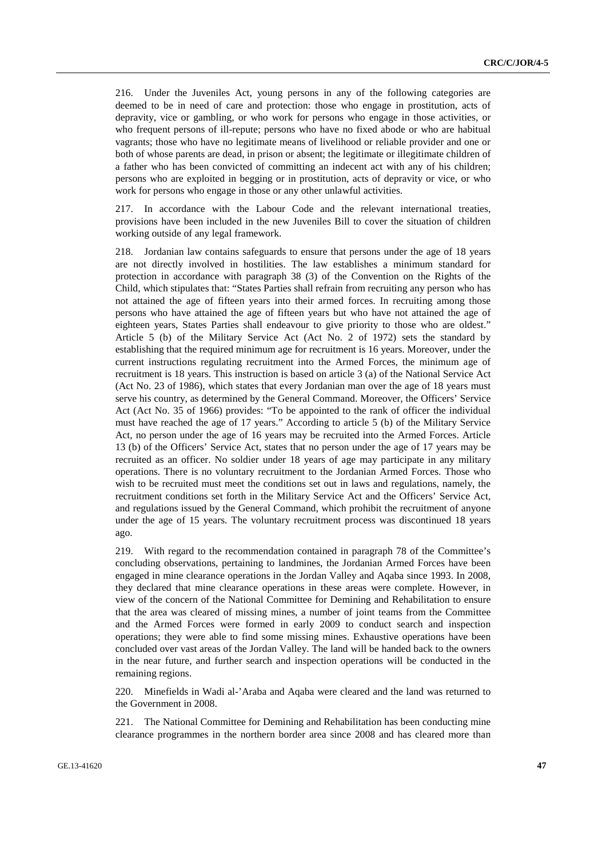216. Under the Juveniles Act, young persons in any of the following categories are deemed to be in need of care and protection: those who engage in prostitution, acts of depravity, vice or gambling, or who work for persons who engage in those activities, or who frequent persons of ill-repute; persons who have no fixed abode or who are habitual vagrants; those who have no legitimate means of livelihood or reliable provider and one or both of whose parents are dead, in prison or absent; the legitimate or illegitimate children of a father who has been convicted of committing an indecent act with any of his children; persons who are exploited in begging or in prostitution, acts of depravity or vice, or who work for persons who engage in those or any other unlawful activities.

217. In accordance with the Labour Code and the relevant international treaties, provisions have been included in the new Juveniles Bill to cover the situation of children working outside of any legal framework.

218. Jordanian law contains safeguards to ensure that persons under the age of 18 years are not directly involved in hostilities. The law establishes a minimum standard for protection in accordance with paragraph 38 (3) of the Convention on the Rights of the Child, which stipulates that: "States Parties shall refrain from recruiting any person who has not attained the age of fifteen years into their armed forces. In recruiting among those persons who have attained the age of fifteen years but who have not attained the age of eighteen years, States Parties shall endeavour to give priority to those who are oldest." Article 5 (b) of the Military Service Act (Act No. 2 of 1972) sets the standard by establishing that the required minimum age for recruitment is 16 years. Moreover, under the current instructions regulating recruitment into the Armed Forces, the minimum age of recruitment is 18 years. This instruction is based on article 3 (a) of the National Service Act (Act No. 23 of 1986), which states that every Jordanian man over the age of 18 years must serve his country, as determined by the General Command. Moreover, the Officers' Service Act (Act No. 35 of 1966) provides: "To be appointed to the rank of officer the individual must have reached the age of 17 years." According to article 5 (b) of the Military Service Act, no person under the age of 16 years may be recruited into the Armed Forces. Article 13 (b) of the Officers' Service Act, states that no person under the age of 17 years may be recruited as an officer. No soldier under 18 years of age may participate in any military operations. There is no voluntary recruitment to the Jordanian Armed Forces. Those who wish to be recruited must meet the conditions set out in laws and regulations, namely, the recruitment conditions set forth in the Military Service Act and the Officers' Service Act, and regulations issued by the General Command, which prohibit the recruitment of anyone under the age of 15 years. The voluntary recruitment process was discontinued 18 years ago.

219. With regard to the recommendation contained in paragraph 78 of the Committee's concluding observations, pertaining to landmines, the Jordanian Armed Forces have been engaged in mine clearance operations in the Jordan Valley and Aqaba since 1993. In 2008, they declared that mine clearance operations in these areas were complete. However, in view of the concern of the National Committee for Demining and Rehabilitation to ensure that the area was cleared of missing mines, a number of joint teams from the Committee and the Armed Forces were formed in early 2009 to conduct search and inspection operations; they were able to find some missing mines. Exhaustive operations have been concluded over vast areas of the Jordan Valley. The land will be handed back to the owners in the near future, and further search and inspection operations will be conducted in the remaining regions.

220. Minefields in Wadi al-'Araba and Aqaba were cleared and the land was returned to the Government in 2008.

221. The National Committee for Demining and Rehabilitation has been conducting mine clearance programmes in the northern border area since 2008 and has cleared more than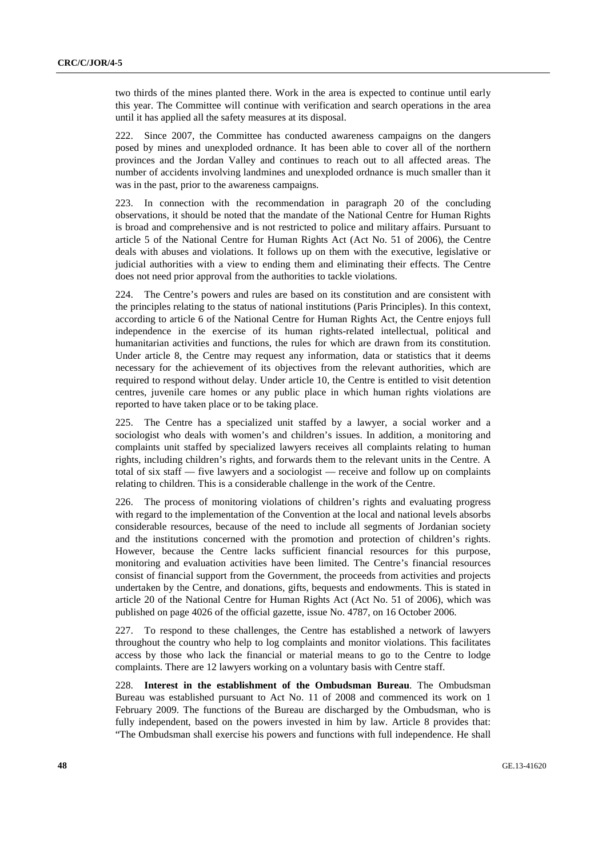two thirds of the mines planted there. Work in the area is expected to continue until early this year. The Committee will continue with verification and search operations in the area until it has applied all the safety measures at its disposal.

222. Since 2007, the Committee has conducted awareness campaigns on the dangers posed by mines and unexploded ordnance. It has been able to cover all of the northern provinces and the Jordan Valley and continues to reach out to all affected areas. The number of accidents involving landmines and unexploded ordnance is much smaller than it was in the past, prior to the awareness campaigns.

223. In connection with the recommendation in paragraph 20 of the concluding observations, it should be noted that the mandate of the National Centre for Human Rights is broad and comprehensive and is not restricted to police and military affairs. Pursuant to article 5 of the National Centre for Human Rights Act (Act No. 51 of 2006), the Centre deals with abuses and violations. It follows up on them with the executive, legislative or judicial authorities with a view to ending them and eliminating their effects. The Centre does not need prior approval from the authorities to tackle violations.

224. The Centre's powers and rules are based on its constitution and are consistent with the principles relating to the status of national institutions (Paris Principles). In this context, according to article 6 of the National Centre for Human Rights Act, the Centre enjoys full independence in the exercise of its human rights-related intellectual, political and humanitarian activities and functions, the rules for which are drawn from its constitution. Under article 8, the Centre may request any information, data or statistics that it deems necessary for the achievement of its objectives from the relevant authorities, which are required to respond without delay. Under article 10, the Centre is entitled to visit detention centres, juvenile care homes or any public place in which human rights violations are reported to have taken place or to be taking place.

225. The Centre has a specialized unit staffed by a lawyer, a social worker and a sociologist who deals with women's and children's issues. In addition, a monitoring and complaints unit staffed by specialized lawyers receives all complaints relating to human rights, including children's rights, and forwards them to the relevant units in the Centre. A total of six staff — five lawyers and a sociologist — receive and follow up on complaints relating to children. This is a considerable challenge in the work of the Centre.

226. The process of monitoring violations of children's rights and evaluating progress with regard to the implementation of the Convention at the local and national levels absorbs considerable resources, because of the need to include all segments of Jordanian society and the institutions concerned with the promotion and protection of children's rights. However, because the Centre lacks sufficient financial resources for this purpose, monitoring and evaluation activities have been limited. The Centre's financial resources consist of financial support from the Government, the proceeds from activities and projects undertaken by the Centre, and donations, gifts, bequests and endowments. This is stated in article 20 of the National Centre for Human Rights Act (Act No. 51 of 2006), which was published on page 4026 of the official gazette, issue No. 4787, on 16 October 2006.

227. To respond to these challenges, the Centre has established a network of lawyers throughout the country who help to log complaints and monitor violations. This facilitates access by those who lack the financial or material means to go to the Centre to lodge complaints. There are 12 lawyers working on a voluntary basis with Centre staff.

228. **Interest in the establishment of the Ombudsman Bureau**. The Ombudsman Bureau was established pursuant to Act No. 11 of 2008 and commenced its work on 1 February 2009. The functions of the Bureau are discharged by the Ombudsman, who is fully independent, based on the powers invested in him by law. Article 8 provides that: "The Ombudsman shall exercise his powers and functions with full independence. He shall